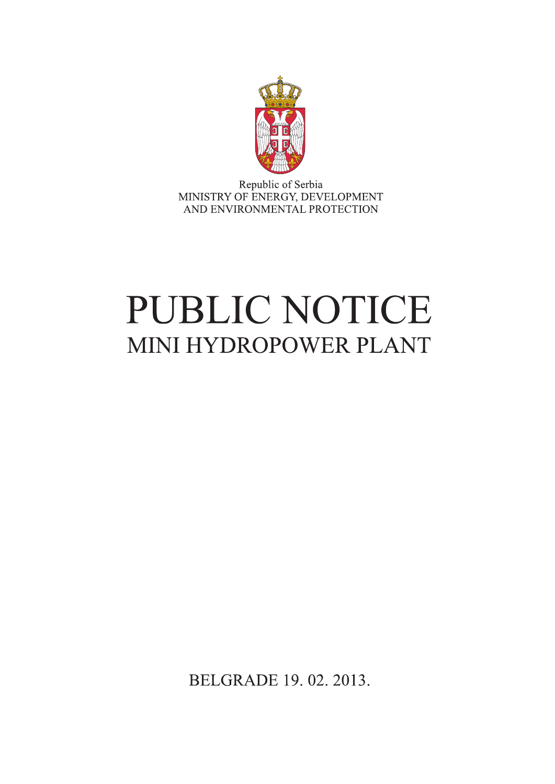

Republic of Serbia MINISTRY OF ENERGY, DEVELOPMENT AND ENVIRONMENTAL PROTECTION

# PUBLIC NOTICE MINI HYDROPOWER PLANT

BELGRADE 19.02.2013.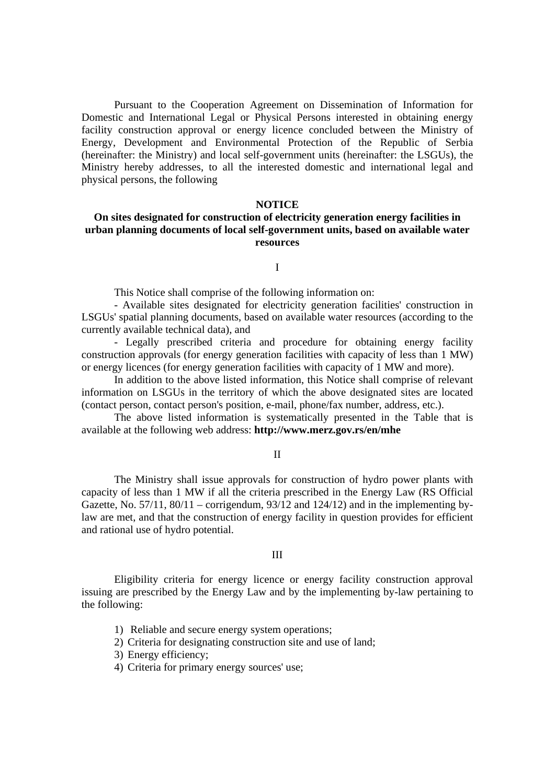Pursuant to the Cooperation Agreement on Dissemination of Information for Domestic and International Legal or Physical Persons interested in obtaining energy facility construction approval or energy licence concluded between the Ministry of Energy, Development and Environmental Protection of the Republic of Serbia (hereinafter: the Ministry) and local self-government units (hereinafter: the LSGUs), the Ministry hereby addresses, to all the interested domestic and international legal and physical persons, the following

#### **NOTICE**

## **On sites designated for construction of electricity generation energy facilities in urban planning documents of local self-government units, based on available water resources**

I

This Notice shall comprise of the following information on:

- Available sites designated for electricity generation facilities' construction in LSGUs' spatial planning documents, based on available water resources (according to the currently available technical data), and

- Legally prescribed criteria and procedure for obtaining energy facility construction approvals (for energy generation facilities with capacity of less than 1 MW) or energy licences (for energy generation facilities with capacity of 1 MW and more).

In addition to the above listed information, this Notice shall comprise of relevant information on LSGUs in the territory of which the above designated sites are located (contact person, contact person's position, e-mail, phone/fax number, address, etc.).

The above listed information is systematically presented in the Table that is available at the following web address: **http://www.merz.gov.rs/en/mhe**

II

The Ministry shall issue approvals for construction of hydro power plants with capacity of less than 1 MW if all the criteria prescribed in the Energy Law (RS Official Gazette, No.  $57/11$ ,  $80/11$  – corrigendum,  $93/12$  and  $124/12$ ) and in the implementing bylaw are met, and that the construction of energy facility in question provides for efficient and rational use of hydro potential.

### III

Eligibility criteria for energy licence or energy facility construction approval issuing are prescribed by the Energy Law and by the implementing by-law pertaining to the following:

- 1) Reliable and secure energy system operations;
- 2) Criteria for designating construction site and use of land;
- 3) Energy efficiency;
- 4) Criteria for primary energy sources' use;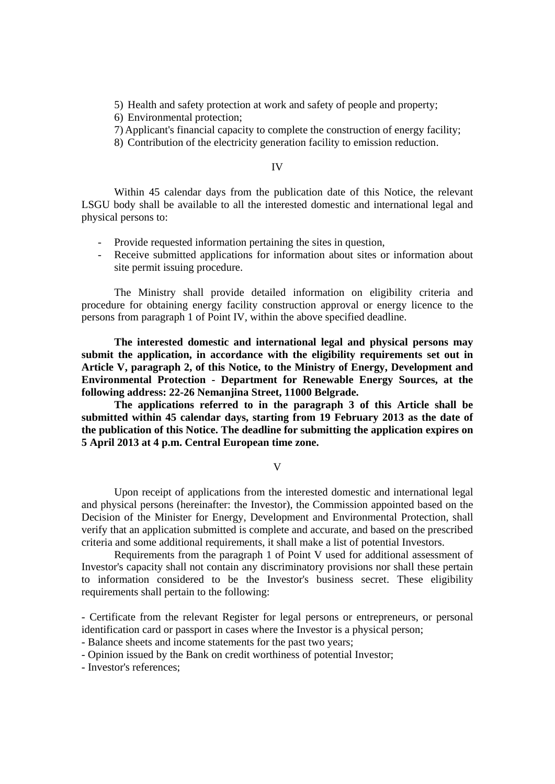5) Health and safety protection at work and safety of people and property;

6) Environmental protection;

- 7) Applicant's financial capacity to complete the construction of energy facility;
- 8) Contribution of the electricity generation facility to emission reduction.

#### IV

Within 45 calendar days from the publication date of this Notice, the relevant LSGU body shall be available to all the interested domestic and international legal and physical persons to:

- Provide requested information pertaining the sites in question,
- Receive submitted applications for information about sites or information about site permit issuing procedure.

The Ministry shall provide detailed information on eligibility criteria and procedure for obtaining energy facility construction approval or energy licence to the persons from paragraph 1 of Point IV, within the above specified deadline.

**The interested domestic and international legal and physical persons may submit the application, in accordance with the eligibility requirements set out in Article V, paragraph 2, of this Notice, to the Ministry of Energy, Development and Environmental Protection - Department for Renewable Energy Sources, at the following address: 22-26 Nemanjina Street, 11000 Belgrade.** 

**The applications referred to in the paragraph 3 of this Article shall be submitted within 45 calendar days, starting from 19 February 2013 as the date of the publication of this Notice. The deadline for submitting the application expires on 5 April 2013 at 4 p.m. Central European time zone.** 

V

Upon receipt of applications from the interested domestic and international legal and physical persons (hereinafter: the Investor), the Commission appointed based on the Decision of the Minister for Energy, Development and Environmental Protection, shall verify that an application submitted is complete and accurate, and based on the prescribed criteria and some additional requirements, it shall make a list of potential Investors.

Requirements from the paragraph 1 of Point V used for additional assessment of Investor's capacity shall not contain any discriminatory provisions nor shall these pertain to information considered to be the Investor's business secret. These eligibility requirements shall pertain to the following:

- Certificate from the relevant Register for legal persons or entrepreneurs, or personal identification card or passport in cases where the Investor is a physical person;

- Balance sheets and income statements for the past two years;

- Opinion issued by the Bank on credit worthiness of potential Investor;

- Investor's references;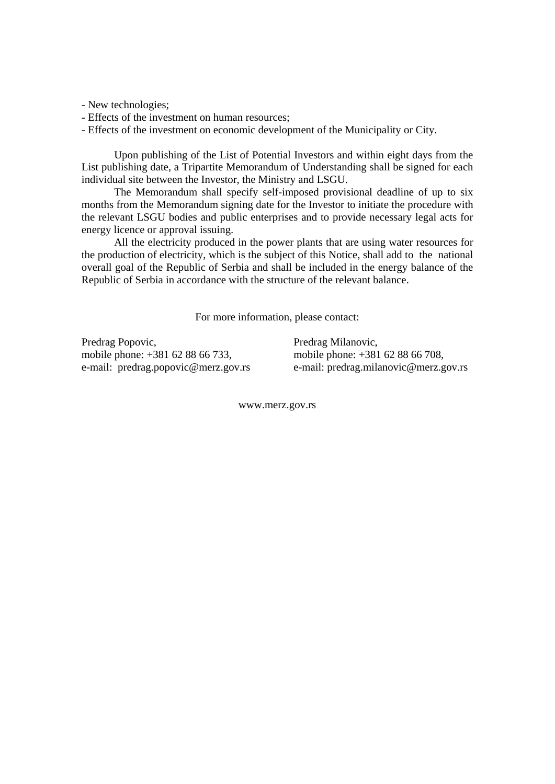- New technologies;

- Effects of the investment on human resources;
- Effects of the investment on economic development of the Municipality or City.

Upon publishing of the List of Potential Investors and within eight days from the List publishing date, a Tripartite Memorandum of Understanding shall be signed for each individual site between the Investor, the Ministry and LSGU.

The Memorandum shall specify self-imposed provisional deadline of up to six months from the Memorandum signing date for the Investor to initiate the procedure with the relevant LSGU bodies and public enterprises and to provide necessary legal acts for energy licence or approval issuing.

All the electricity produced in the power plants that are using water resources for the production of electricity, which is the subject of this Notice, shall add to the national overall goal of the Republic of Serbia and shall be included in the energy balance of the Republic of Serbia in accordance with the structure of the relevant balance.

For more information, please contact:

Predrag Popovic, mobile phone: +381 62 88 66 733, e-mail: predrag.popovic@merz.gov.rs

Predrag Milanovic, mobile phone: +381 62 88 66 708, e-mail: predrag.milanovic@merz.gov.rs

www.merz.gov.rs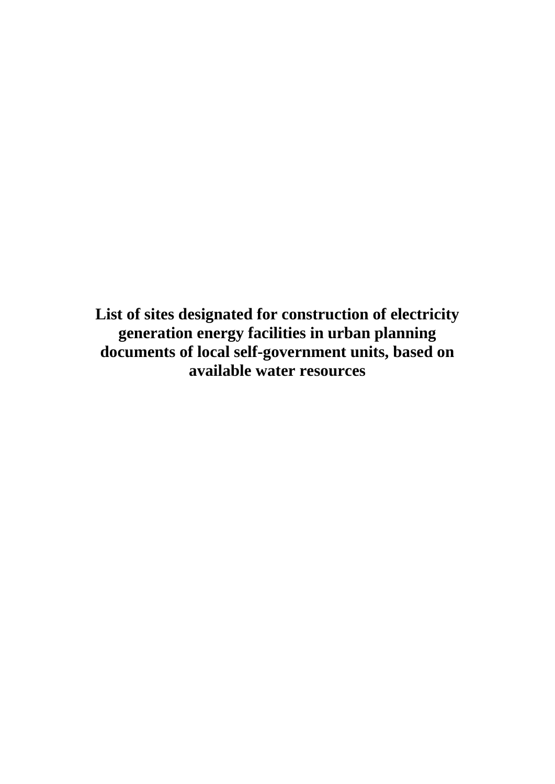**List of sites designated for construction of electricity generation energy facilities in urban planning documents of local self-government units, based on available water resources**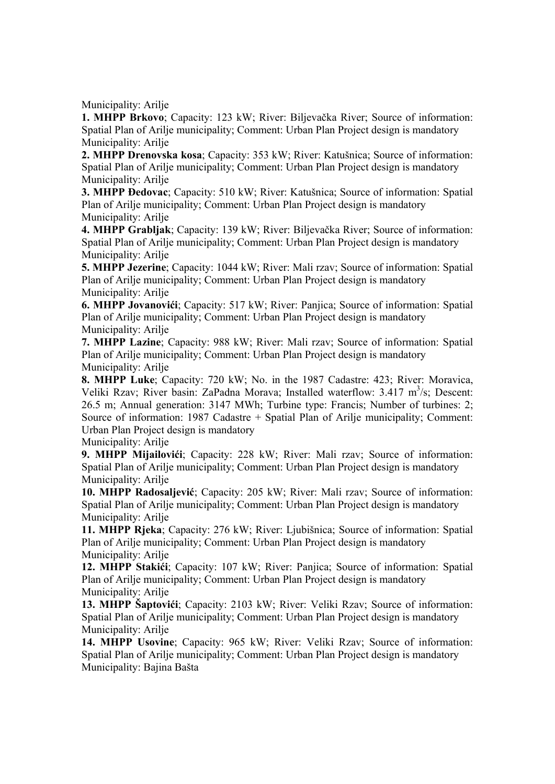Municipality: Arilje

**1. MHPP Brkovo**; Capacity: 123 kW; River: Biljevačka River; Source of information: Spatial Plan of Arilje municipality; Comment: Urban Plan Project design is mandatory Municipality: Arilje

**2. MHPP Drenovska kosa**; Capacity: 353 kW; River: Katušnica; Source of information: Spatial Plan of Arilje municipality; Comment: Urban Plan Project design is mandatory Municipality: Arilje

**3. MHPP Đedovac**; Capacity: 510 kW; River: Katušnica; Source of information: Spatial Plan of Arilje municipality; Comment: Urban Plan Project design is mandatory Municipality: Arilje

**4. MHPP Grabljak**; Capacity: 139 kW; River: Biljevačka River; Source of information: Spatial Plan of Arilje municipality; Comment: Urban Plan Project design is mandatory Municipality: Arilje

**5. MHPP Jezerine**; Capacity: 1044 kW; River: Mali rzav; Source of information: Spatial Plan of Arilje municipality; Comment: Urban Plan Project design is mandatory Municipality: Arilie

**6. MHPP Jovanovići**; Capacity: 517 kW; River: Panjica; Source of information: Spatial Plan of Arilje municipality; Comment: Urban Plan Project design is mandatory Municipality: Arilje

**7. MHPP Lazine**; Capacity: 988 kW; River: Mali rzav; Source of information: Spatial Plan of Arilje municipality; Comment: Urban Plan Project design is mandatory Municipality: Arilje

**8. MHPP Luke**; Capacity: 720 kW; No. in the 1987 Cadastre: 423; River: Moravica, Veliki Rzav; River basin: ZaPadna Morava; Installed waterflow: 3.417 m<sup>3</sup>/s; Descent: 26.5 m; Annual generation: 3147 MWh; Turbine type: Francis; Number of turbines: 2; Source of information: 1987 Cadastre + Spatial Plan of Arilje municipality; Comment: Urban Plan Project design is mandatory

Municipality: Arilje

**9. MHPP Mijailovići**; Capacity: 228 kW; River: Mali rzav; Source of information: Spatial Plan of Arilje municipality; Comment: Urban Plan Project design is mandatory Municipality: Arilje

**10. MHPP Radosaljević**; Capacity: 205 kW; River: Mali rzav; Source of information: Spatial Plan of Arilje municipality; Comment: Urban Plan Project design is mandatory Municipality: Arilie

**11. MHPP Rjeka**; Capacity: 276 kW; River: Ljubišnica; Source of information: Spatial Plan of Arilje municipality; Comment: Urban Plan Project design is mandatory Municipality: Arilje

**12. MHPP Stakići**; Capacity: 107 kW; River: Panjica; Source of information: Spatial Plan of Arilje municipality; Comment: Urban Plan Project design is mandatory Municipality: Arilje

**13. MHPP Šaptovići**; Capacity: 2103 kW; River: Veliki Rzav; Source of information: Spatial Plan of Arilje municipality; Comment: Urban Plan Project design is mandatory Municipality: Arilie

**14. MHPP Usovine**; Capacity: 965 kW; River: Veliki Rzav; Source of information: Spatial Plan of Arilje municipality; Comment: Urban Plan Project design is mandatory Municipality: Bajina Bašta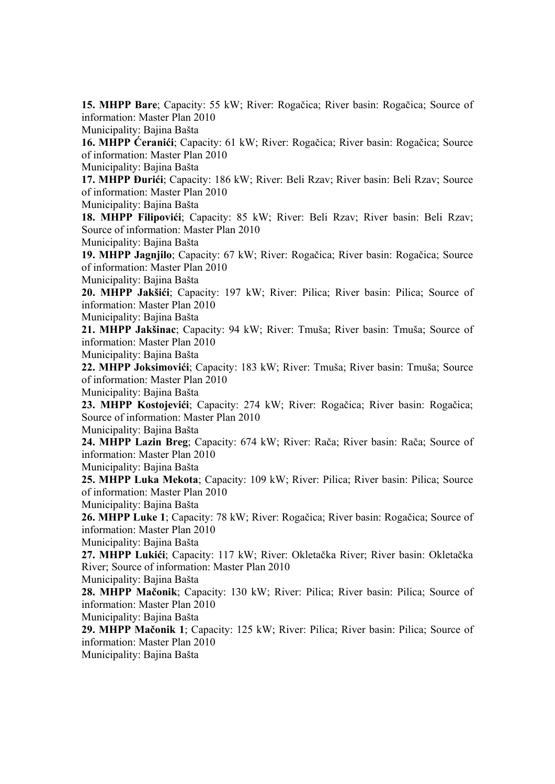**15. MHPP Bare**; Capacity: 55 kW; River: Rogačica; River basin: Rogačica; Source of information: Master Plan 2010

Municipality: Bajina Bašta

**16. MHPP Ćeranići**; Capacity: 61 kW; River: Rogačica; River basin: Rogačica; Source of information: Master Plan 2010

Municipality: Bajina Bašta

**17. MHPP Đurići**; Capacity: 186 kW; River: Beli Rzav; River basin: Beli Rzav; Source of information: Master Plan 2010

Municipality: Bajina Bašta

**18. MHPP Filipovići**; Capacity: 85 kW; River: Beli Rzav; River basin: Beli Rzav; Source of information: Master Plan 2010

Municipality: Bajina Bašta

**19. MHPP Jagnjilo**; Capacity: 67 kW; River: Rogačica; River basin: Rogačica; Source of information: Master Plan 2010

Municipality: Bajina Bašta

**20. MHPP Jakšići**; Capacity: 197 kW; River: Pilica; River basin: Pilica; Source of information: Master Plan 2010

Municipality: Bajina Bašta

**21. MHPP Jakšinac**; Capacity: 94 kW; River: Tmuša; River basin: Tmuša; Source of information: Master Plan 2010

Municipality: Bajina Bašta

**22. MHPP Joksimovići**; Capacity: 183 kW; River: Tmuša; River basin: Tmuša; Source of information: Master Plan 2010

Municipality: Bajina Bašta

**23. MHPP Kostojevići**; Capacity: 274 kW; River: Rogačica; River basin: Rogačica; Source of information: Master Plan 2010

Municipality: Bajina Bašta

**24. MHPP Lazin Breg**; Capacity: 674 kW; River: Rača; River basin: Rača; Source of information: Master Plan 2010

Municipality: Bajina Bašta

**25. MHPP Luka Mekota**; Capacity: 109 kW; River: Pilica; River basin: Pilica; Source of information: Master Plan 2010

Municipality: Bajina Bašta

**26. MHPP Luke 1**; Capacity: 78 kW; River: Rogačica; River basin: Rogačica; Source of information: Master Plan 2010

Municipality: Bajina Bašta

**27. MHPP Lukići**; Capacity: 117 kW; River: Okletačka River; River basin: Okletačka River; Source of information: Master Plan 2010

Municipality: Bajina Bašta

**28. MHPP Mačonik**; Capacity: 130 kW; River: Pilica; River basin: Pilica; Source of information: Master Plan 2010

Municipality: Bajina Bašta

**29. MHPP Mačonik 1**; Capacity: 125 kW; River: Pilica; River basin: Pilica; Source of information: Master Plan 2010

Municipality: Bajina Bašta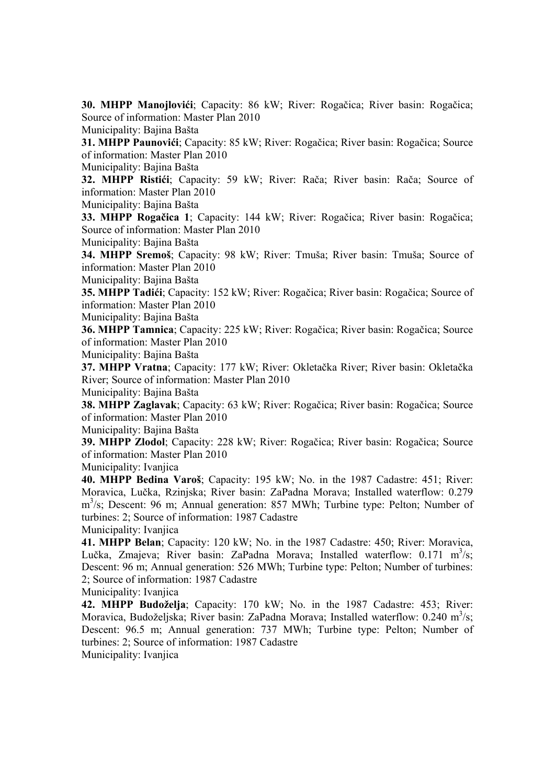**30. MHPP Manojlovići**; Capacity: 86 kW; River: Rogačica; River basin: Rogačica; Source of information: Master Plan 2010

Municipality: Bajina Bašta

**31. MHPP Paunovići**; Capacity: 85 kW; River: Rogačica; River basin: Rogačica; Source of information: Master Plan 2010

Municipality: Bajina Bašta

**32. MHPP Ristići**; Capacity: 59 kW; River: Rača; River basin: Rača; Source of information: Master Plan 2010

Municipality: Bajina Bašta

**33. MHPP Rogačica 1**; Capacity: 144 kW; River: Rogačica; River basin: Rogačica; Source of information: Master Plan 2010

Municipality: Bajina Bašta

**34. MHPP Sremoš**; Capacity: 98 kW; River: Tmuša; River basin: Tmuša; Source of information: Master Plan 2010

Municipality: Bajina Bašta

**35. MHPP Tadići**; Capacity: 152 kW; River: Rogačica; River basin: Rogačica; Source of information: Master Plan 2010

Municipality: Bajina Bašta

**36. MHPP Tamnica**; Capacity: 225 kW; River: Rogačica; River basin: Rogačica; Source of information: Master Plan 2010

Municipality: Bajina Bašta

**37. MHPP Vratna**; Capacity: 177 kW; River: Okletačka River; River basin: Okletačka River; Source of information: Master Plan 2010

Municipality: Bajina Bašta

**38. MHPP Zaglavak**; Capacity: 63 kW; River: Rogačica; River basin: Rogačica; Source of information: Master Plan 2010

Municipality: Bajina Bašta

**39. MHPP Zlodol**; Capacity: 228 kW; River: Rogačica; River basin: Rogačica; Source of information: Master Plan 2010

Municipality: Ivanjica

**40. MHPP Bedina Varoš**; Capacity: 195 kW; No. in the 1987 Cadastre: 451; River: Moravica, Lučka, Rzinjska; River basin: ZaPadna Morava; Installed waterflow: 0.279 m<sup>3</sup>/s; Descent: 96 m; Annual generation: 857 MWh; Turbine type: Pelton; Number of turbines: 2; Source of information: 1987 Cadastre

Municipality: Ivanjica

**41. MHPP Belan**; Capacity: 120 kW; No. in the 1987 Cadastre: 450; River: Moravica, Lučka, Zmajeva; River basin: ZaPadna Morava; Installed waterflow: 0.171 m<sup>3</sup>/s; Descent: 96 m; Annual generation: 526 MWh; Turbine type: Pelton; Number of turbines: 2; Source of information: 1987 Cadastre

Municipality: Ivanjica

**42. MHPP Budoželja**; Capacity: 170 kW; No. in the 1987 Cadastre: 453; River: Moravica, Budoželjska; River basin: ZaPadna Morava; Installed waterflow: 0.240 m<sup>3</sup>/s; Descent: 96.5 m; Annual generation: 737 MWh; Turbine type: Pelton; Number of turbines: 2; Source of information: 1987 Cadastre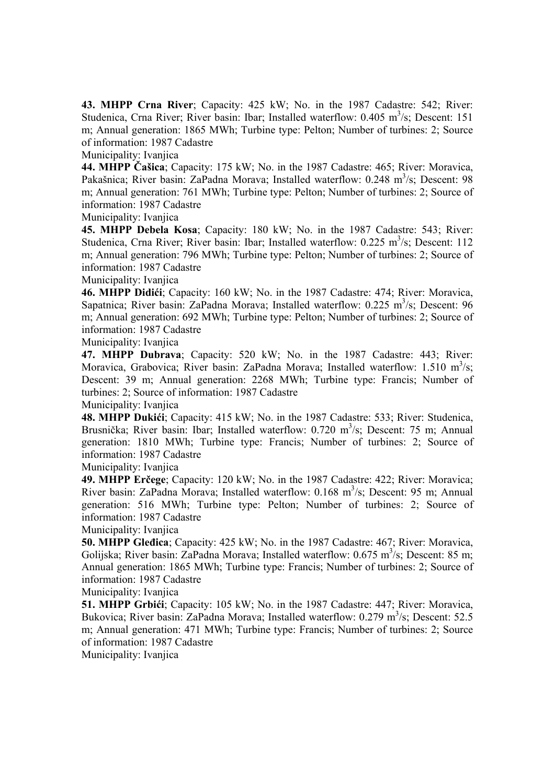**43. MHPP Crna River**; Capacity: 425 kW; No. in the 1987 Cadastre: 542; River: Studenica, Crna River; River basin: Ibar; Installed waterflow:  $0.405 \text{ m}^3/\text{s}$ ; Descent: 151 m; Annual generation: 1865 MWh; Turbine type: Pelton; Number of turbines: 2; Source of information: 1987 Cadastre

Municipality: Ivanjica

**44. MHPP Čašica**; Capacity: 175 kW; No. in the 1987 Cadastre: 465; River: Moravica, Pakašnica; River basin: ZaPadna Morava; Installed waterflow: 0.248 m<sup>3</sup>/s; Descent: 98 m; Annual generation: 761 MWh; Turbine type: Pelton; Number of turbines: 2; Source of information: 1987 Cadastre

Municipality: Ivanjica

**45. MHPP Debela Kosa**; Capacity: 180 kW; No. in the 1987 Cadastre: 543; River: Studenica, Crna River; River basin: Ibar; Installed waterflow:  $0.225 \text{ m}^3/\text{s}$ ; Descent: 112 m; Annual generation: 796 MWh; Turbine type: Pelton; Number of turbines: 2; Source of information: 1987 Cadastre

Municipality: Ivanjica

**46. MHPP Didići**; Capacity: 160 kW; No. in the 1987 Cadastre: 474; River: Moravica, Sapatnica; River basin: ZaPadna Morava; Installed waterflow:  $0.225 \text{ m}^3/\text{s}$ ; Descent:  $96$ m; Annual generation: 692 MWh; Turbine type: Pelton; Number of turbines: 2; Source of information: 1987 Cadastre

Municipality: Ivanjica

**47. MHPP Dubrava**; Capacity: 520 kW; No. in the 1987 Cadastre: 443; River: Moravica, Grabovica; River basin: ZaPadna Morava; Installed waterflow:  $1.510 \text{ m}^3/\text{s}$ ; Descent: 39 m; Annual generation: 2268 MWh; Turbine type: Francis; Number of turbines: 2; Source of information: 1987 Cadastre

Municipality: Ivaniica

**48. MHPP Dukići**; Capacity: 415 kW; No. in the 1987 Cadastre: 533; River: Studenica, Brusnička; River basin: Ibar; Installed waterflow: 0.720 m<sup>3</sup>/s; Descent: 75 m; Annual generation: 1810 MWh; Turbine type: Francis; Number of turbines: 2; Source of information: 1987 Cadastre

Municipality: Ivanjica

**49. MHPP Erčege**; Capacity: 120 kW; No. in the 1987 Cadastre: 422; River: Moravica; River basin: ZaPadna Morava; Installed waterflow: 0.168 m<sup>3</sup>/s; Descent: 95 m; Annual generation: 516 MWh; Turbine type: Pelton; Number of turbines: 2; Source of information: 1987 Cadastre

Municipality: Ivanjica

**50. MHPP Gleđica**; Capacity: 425 kW; No. in the 1987 Cadastre: 467; River: Moravica, Golijska; River basin: ZaPadna Morava; Installed waterflow:  $0.675 \text{ m}^3/\text{s}$ ; Descent: 85 m; Annual generation: 1865 MWh; Turbine type: Francis; Number of turbines: 2; Source of information: 1987 Cadastre

Municipality: Ivanjica

**51. MHPP Grbići**; Capacity: 105 kW; No. in the 1987 Cadastre: 447; River: Moravica, Bukovica; River basin: ZaPadna Morava; Installed waterflow: 0.279 m<sup>3</sup>/s; Descent: 52.5 m; Annual generation: 471 MWh; Turbine type: Francis; Number of turbines: 2; Source of information: 1987 Cadastre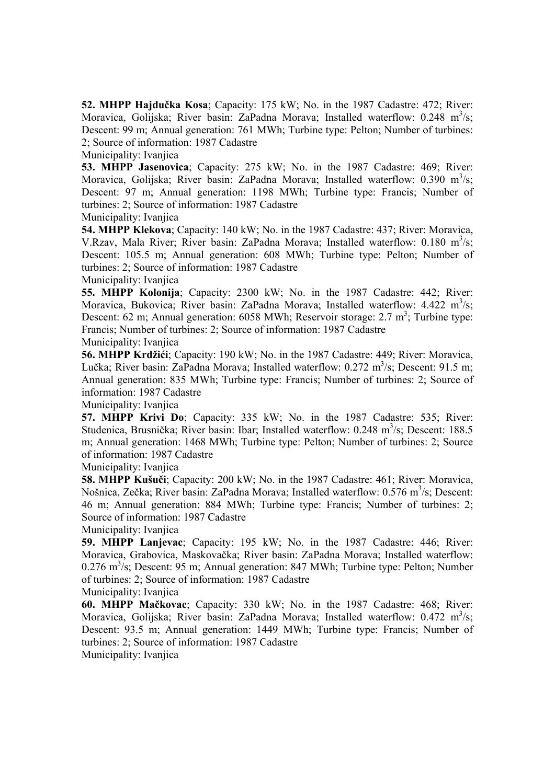**52. MHPP Hajdučka Kosa**; Capacity: 175 kW; No. in the 1987 Cadastre: 472; River: Moravica, Golijska; River basin: ZaPadna Morava; Installed waterflow:  $0.248 \text{ m}^3/\text{s}$ ; Descent: 99 m; Annual generation: 761 MWh; Turbine type: Pelton; Number of turbines: 2; Source of information: 1987 Cadastre

Municipality: Ivanjica

**53. MHPP Jasenovica**; Capacity: 275 kW; No. in the 1987 Cadastre: 469; River: Moravica, Golijska; River basin: ZaPadna Morava; Installed waterflow: 0.390 m<sup>3</sup>/s; Descent: 97 m; Annual generation: 1198 MWh; Turbine type: Francis; Number of turbines: 2; Source of information: 1987 Cadastre Municipality: Ivanjica

**54. MHPP Klekova**; Capacity: 140 kW; No. in the 1987 Cadastre: 437; River: Moravica, V.Rzav, Mala River; River basin: ZaPadna Morava; Installed waterflow: 0.180 m<sup>3</sup>/s; Descent: 105.5 m; Annual generation: 608 MWh; Turbine type: Pelton; Number of turbines: 2; Source of information: 1987 Cadastre

Municipality: Ivanjica

**55. MHPP Kolonija**; Capacity: 2300 kW; No. in the 1987 Cadastre: 442; River: Moravica, Bukovica; River basin: ZaPadna Morava; Installed waterflow:  $4.422 \text{ m}^3/\text{s}$ ; Descent: 62 m; Annual generation: 6058 MWh; Reservoir storage:  $2.7 \text{ m}^3$ ; Turbine type: Francis; Number of turbines: 2; Source of information: 1987 Cadastre Municipality: Ivanjica

**56. MHPP Krdžići**; Capacity: 190 kW; No. in the 1987 Cadastre: 449; River: Moravica, Lučka; River basin: ZaPadna Morava; Installed waterflow: 0.272 m<sup>3</sup>/s; Descent: 91.5 m; Annual generation: 835 MWh; Turbine type: Francis; Number of turbines: 2; Source of information: 1987 Cadastre

Municipality: Ivaniica

**57. MHPP Krivi Do**; Capacity: 335 kW; No. in the 1987 Cadastre: 535; River: Studenica, Brusnička; River basin: Ibar; Installed waterflow: 0.248 m<sup>3</sup>/s; Descent: 188.5 m; Annual generation: 1468 MWh; Turbine type: Pelton; Number of turbines: 2; Source of information: 1987 Cadastre

Municipality: Ivanjica

**58. MHPP Kušuči**; Capacity: 200 kW; No. in the 1987 Cadastre: 461; River: Moravica, Nošnica, Zečka; River basin: ZaPadna Morava; Installed waterflow: 0.576 m<sup>3</sup>/s; Descent: 46 m; Annual generation: 884 MWh; Turbine type: Francis; Number of turbines: 2; Source of information: 1987 Cadastre

Municipality: Ivanjica

**59. MHPP Lanjevac**; Capacity: 195 kW; No. in the 1987 Cadastre: 446; River: Moravica, Grabovica, Maskovačka; River basin: ZaPadna Morava; Installed waterflow: 0.276 m<sup>3</sup>/s; Descent: 95 m; Annual generation: 847 MWh; Turbine type: Pelton; Number of turbines: 2; Source of information: 1987 Cadastre

Municipality: Ivanjica

**60. MHPP Mačkovac**; Capacity: 330 kW; No. in the 1987 Cadastre: 468; River: Moravica, Golijska; River basin: ZaPadna Morava; Installed waterflow:  $0.472 \text{ m}^3/\text{s}$ ; Descent: 93.5 m; Annual generation: 1449 MWh; Turbine type: Francis; Number of turbines: 2; Source of information: 1987 Cadastre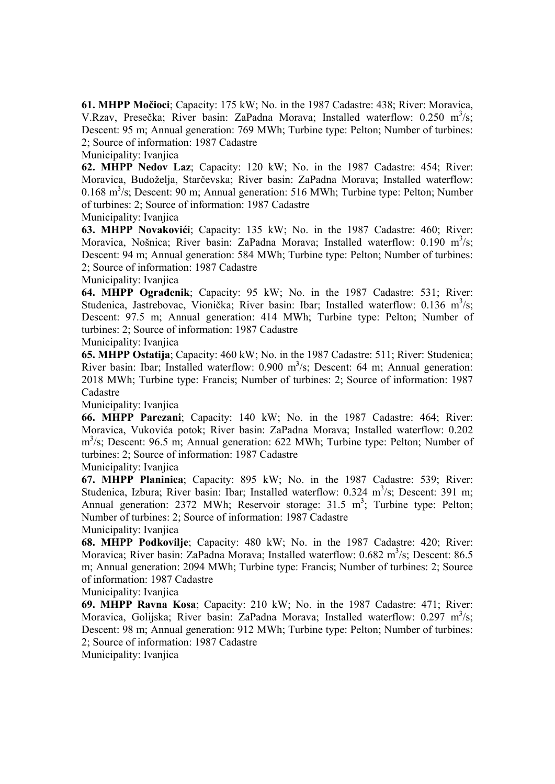**61. MHPP Močioci**; Capacity: 175 kW; No. in the 1987 Cadastre: 438; River: Moravica, V.Rzav, Presečka; River basin: ZaPadna Morava; Installed waterflow: 0.250 m<sup>3</sup>/s; Descent: 95 m; Annual generation: 769 MWh; Turbine type: Pelton; Number of turbines: 2; Source of information: 1987 Cadastre

Municipality: Ivanjica

**62. MHPP Nedov Laz**; Capacity: 120 kW; No. in the 1987 Cadastre: 454; River: Moravica, Budoželja, Starčevska; River basin: ZaPadna Morava; Installed waterflow: 0.168 m<sup>3</sup>/s; Descent: 90 m; Annual generation: 516 MWh; Turbine type: Pelton; Number of turbines: 2; Source of information: 1987 Cadastre Municipality: Ivanjica

**63. MHPP Novakovići**; Capacity: 135 kW; No. in the 1987 Cadastre: 460; River: Moravica, Nošnica; River basin: ZaPadna Morava; Installed waterflow: 0.190 m<sup>3</sup>/s; Descent: 94 m; Annual generation: 584 MWh; Turbine type: Pelton; Number of turbines: 2; Source of information: 1987 Cadastre

Municipality: Ivanjica

**64. MHPP Ograđenik**; Capacity: 95 kW; No. in the 1987 Cadastre: 531; River: Studenica, Jastrebovac, Vionička; River basin: Ibar; Installed waterflow: 0.136 m<sup>3</sup>/s; Descent: 97.5 m; Annual generation: 414 MWh; Turbine type: Pelton; Number of turbines: 2; Source of information: 1987 Cadastre

Municipality: Ivanjica

**65. MHPP Ostatija**; Capacity: 460 kW; No. in the 1987 Cadastre: 511; River: Studenica; River basin: Ibar; Installed waterflow:  $0.900 \text{ m}^3/\text{s}$ ; Descent: 64 m; Annual generation: 2018 MWh; Turbine type: Francis; Number of turbines: 2; Source of information: 1987 Cadastre

Municipality: Ivanjica

**66. MHPP Parezani**; Capacity: 140 kW; No. in the 1987 Cadastre: 464; River: Moravica, Vukovića potok; River basin: ZaPadna Morava; Installed waterflow: 0.202 m<sup>3</sup>/s; Descent: 96.5 m; Annual generation: 622 MWh; Turbine type: Pelton; Number of turbines: 2; Source of information: 1987 Cadastre

Municipality: Ivanjica

**67. MHPP Planinica**; Capacity: 895 kW; No. in the 1987 Cadastre: 539; River: Studenica, Izbura; River basin: Ibar; Installed waterflow: 0.324 m<sup>3</sup>/s; Descent: 391 m; Annual generation: 2372 MWh; Reservoir storage: 31.5  $m^3$ ; Turbine type: Pelton; Number of turbines: 2; Source of information: 1987 Cadastre

Municipality: Ivanjica

**68. MHPP Podkovilje**; Capacity: 480 kW; No. in the 1987 Cadastre: 420; River: Moravica; River basin: ZaPadna Morava; Installed waterflow: 0.682 m<sup>3</sup>/s; Descent: 86.5 m; Annual generation: 2094 MWh; Turbine type: Francis; Number of turbines: 2; Source of information: 1987 Cadastre

Municipality: Ivanjica

**69. MHPP Ravna Kosa**; Capacity: 210 kW; No. in the 1987 Cadastre: 471; River: Moravica, Golijska; River basin: ZaPadna Morava; Installed waterflow:  $0.297 \text{ m}^3/\text{s}$ ; Descent: 98 m; Annual generation: 912 MWh; Turbine type: Pelton; Number of turbines: 2; Source of information: 1987 Cadastre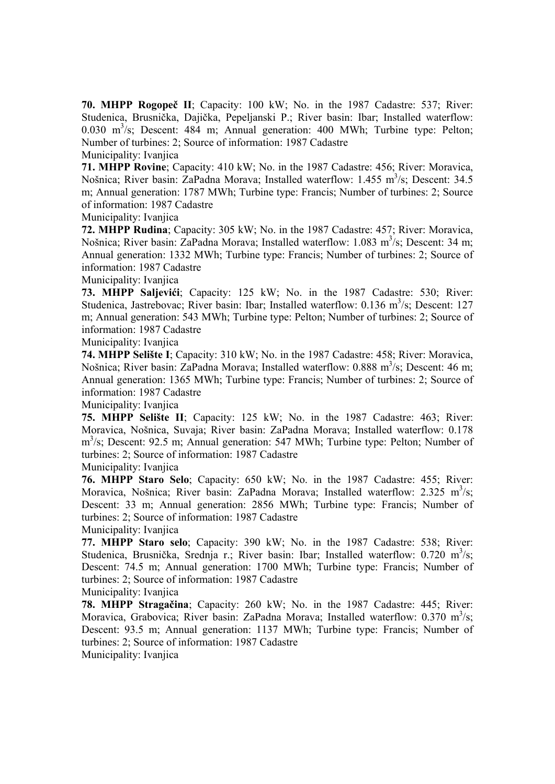**70. MHPP Rogopeč II**; Capacity: 100 kW; No. in the 1987 Cadastre: 537; River: Studenica, Brusnička, Dajička, Pepeljanski P.; River basin: Ibar; Installed waterflow: 0.030 m<sup>3</sup>/s; Descent: 484 m; Annual generation: 400 MWh; Turbine type: Pelton; Number of turbines: 2; Source of information: 1987 Cadastre

Municipality: Ivanjica

**71. MHPP Rovine**; Capacity: 410 kW; No. in the 1987 Cadastre: 456; River: Moravica, Nošnica; River basin: ZaPadna Morava; Installed waterflow: 1.455 m<sup>3</sup>/s; Descent: 34.5 m; Annual generation: 1787 MWh; Turbine type: Francis; Number of turbines: 2; Source of information: 1987 Cadastre

Municipality: Ivanjica

**72. MHPP Rudina**; Capacity: 305 kW; No. in the 1987 Cadastre: 457; River: Moravica, Nošnica; River basin: ZaPadna Morava; Installed waterflow: 1.083 m<sup>3</sup>/s; Descent: 34 m; Annual generation: 1332 MWh; Turbine type: Francis; Number of turbines: 2; Source of information: 1987 Cadastre

Municipality: Ivanjica

**73. MHPP Saljevići**; Capacity: 125 kW; No. in the 1987 Cadastre: 530; River: Studenica, Jastrebovac; River basin: Ibar; Installed waterflow: 0.136 m<sup>3</sup>/s; Descent: 127 m; Annual generation: 543 MWh; Turbine type: Pelton; Number of turbines: 2; Source of information: 1987 Cadastre

Municipality: Ivanjica

**74. MHPP Selište I**; Capacity: 310 kW; No. in the 1987 Cadastre: 458; River: Moravica, Nošnica; River basin: ZaPadna Morava; Installed waterflow: 0.888 m<sup>3</sup>/s; Descent: 46 m; Annual generation: 1365 MWh; Turbine type: Francis; Number of turbines: 2; Source of information: 1987 Cadastre

Municipality: Ivanjica

**75. MHPP Selište II**; Capacity: 125 kW; No. in the 1987 Cadastre: 463; River: Moravica, Nošnica, Suvaja; River basin: ZaPadna Morava; Installed waterflow: 0.178 m<sup>3</sup>/s; Descent: 92.5 m; Annual generation: 547 MWh; Turbine type: Pelton; Number of turbines: 2; Source of information: 1987 Cadastre

Municipality: Ivanjica

**76. MHPP Staro Selo**; Capacity: 650 kW; No. in the 1987 Cadastre: 455; River: Moravica, Nošnica; River basin: ZaPadna Morava; Installed waterflow: 2.325 m<sup>3</sup>/s; Descent: 33 m; Annual generation: 2856 MWh; Turbine type: Francis; Number of turbines: 2; Source of information: 1987 Cadastre

Municipality: Ivanjica

**77. MHPP Staro selo**; Capacity: 390 kW; No. in the 1987 Cadastre: 538; River: Studenica, Brusnička, Srednja r.; River basin: Ibar; Installed waterflow:  $0.720 \text{ m}^3/\text{s}$ ; Descent: 74.5 m; Annual generation: 1700 MWh; Turbine type: Francis; Number of turbines: 2; Source of information: 1987 Cadastre

Municipality: Ivanjica

**78. MHPP Stragačina**; Capacity: 260 kW; No. in the 1987 Cadastre: 445; River: Moravica, Grabovica; River basin: ZaPadna Morava; Installed waterflow: 0.370 m<sup>3</sup>/s; Descent: 93.5 m; Annual generation: 1137 MWh; Turbine type: Francis; Number of turbines: 2; Source of information: 1987 Cadastre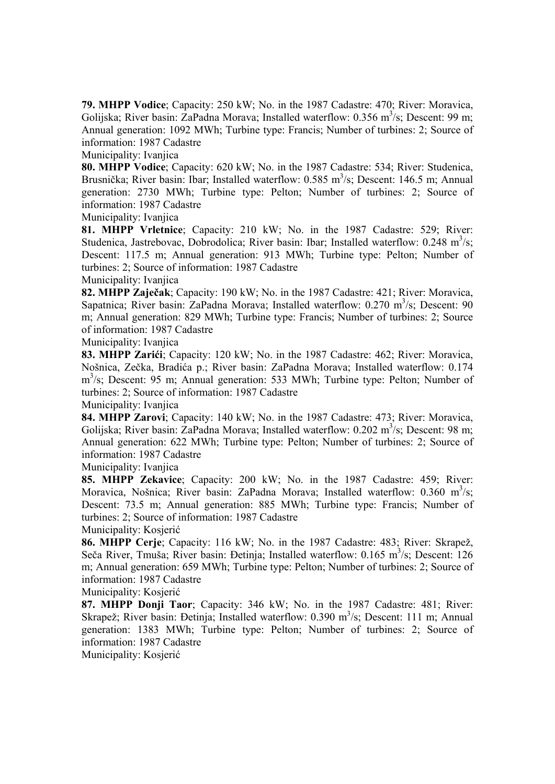**79. MHPP Vodice**; Capacity: 250 kW; No. in the 1987 Cadastre: 470; River: Moravica, Golijska; River basin: ZaPadna Morava; Installed waterflow:  $0.356 \text{ m}^3/\text{s}$ ; Descent: 99 m; Annual generation: 1092 MWh; Turbine type: Francis; Number of turbines: 2; Source of information: 1987 Cadastre

Municipality: Ivanjica

**80. MHPP Vodice**; Capacity: 620 kW; No. in the 1987 Cadastre: 534; River: Studenica, Brusnička; River basin: Ibar; Installed waterflow: 0.585 m<sup>3</sup>/s; Descent: 146.5 m; Annual generation: 2730 MWh; Turbine type: Pelton; Number of turbines: 2; Source of information: 1987 Cadastre

Municipality: Ivanjica

**81. MHPP Vrletnice**; Capacity: 210 kW; No. in the 1987 Cadastre: 529; River: Studenica, Jastrebovac, Dobrodolica; River basin: Ibar; Installed waterflow:  $0.248 \text{ m}^3/\text{s}$ ; Descent: 117.5 m; Annual generation: 913 MWh; Turbine type: Pelton; Number of turbines: 2; Source of information: 1987 Cadastre

Municipality: Ivanjica

**82. MHPP Zaječak**; Capacity: 190 kW; No. in the 1987 Cadastre: 421; River: Moravica, Sapatnica; River basin: ZaPadna Morava; Installed waterflow: 0.270 m<sup>3</sup>/s; Descent: 90 m; Annual generation: 829 MWh; Turbine type: Francis; Number of turbines: 2; Source of information: 1987 Cadastre

Municipality: Ivanjica

**83. MHPP Zarići**; Capacity: 120 kW; No. in the 1987 Cadastre: 462; River: Moravica, Nošnica, Zečka, Bradića p.; River basin: ZaPadna Morava; Installed waterflow: 0.174 m<sup>3</sup>/s; Descent: 95 m; Annual generation: 533 MWh; Turbine type: Pelton; Number of turbines: 2; Source of information: 1987 Cadastre

Municipality: Ivanjica

**84. MHPP Zarovi**; Capacity: 140 kW; No. in the 1987 Cadastre: 473; River: Moravica, Golijska; River basin: ZaPadna Morava; Installed waterflow:  $0.202 \text{ m}^3/\text{s}$ ; Descent: 98 m; Annual generation: 622 MWh; Turbine type: Pelton; Number of turbines: 2; Source of information: 1987 Cadastre

Municipality: Ivanjica

**85. MHPP Zekavice**; Capacity: 200 kW; No. in the 1987 Cadastre: 459; River: Moravica, Nošnica; River basin: ZaPadna Morava; Installed waterflow: 0.360 m<sup>3</sup>/s; Descent: 73.5 m; Annual generation: 885 MWh; Turbine type: Francis; Number of turbines: 2; Source of information: 1987 Cadastre

Municipality: Kosjerić

**86. MHPP Cerje**; Capacity: 116 kW; No. in the 1987 Cadastre: 483; River: Skrapež, Seča River, Tmuša; River basin: Đetinja; Installed waterflow:  $0.165 \text{ m}^3/\text{s}$ ; Descent:  $126$ m; Annual generation: 659 MWh; Turbine type: Pelton; Number of turbines: 2; Source of information: 1987 Cadastre

Municipality: Kosjerić

**87. MHPP Donji Taor**; Capacity: 346 kW; No. in the 1987 Cadastre: 481; River: Skrapež; River basin: Đetinja; Installed waterflow: 0.390 m<sup>3</sup>/s; Descent: 111 m; Annual generation: 1383 MWh; Turbine type: Pelton; Number of turbines: 2; Source of information: 1987 Cadastre

Municipality: Kosjerić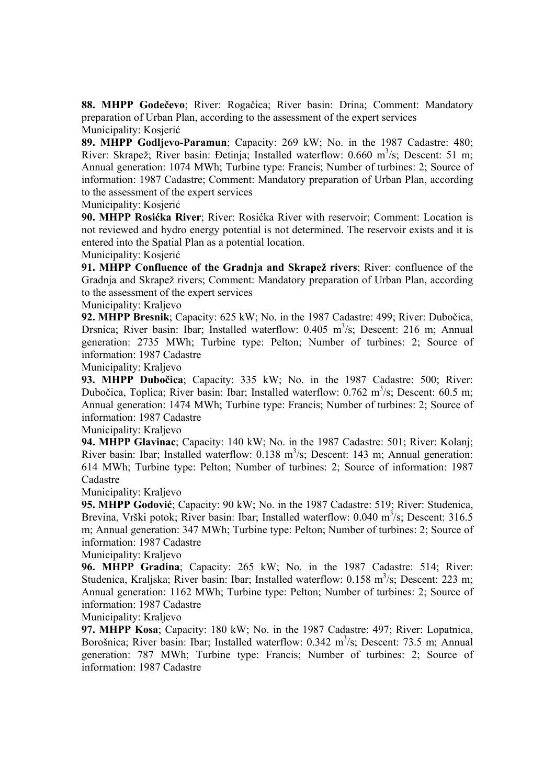**88. MHPP Godečevo**; River: Rogačica; River basin: Drina; Comment: Mandatory preparation of Urban Plan, according to the assessment of the expert services Municipality: Kosjerić

**89. MHPP Godljevo-Paramun**; Capacity: 269 kW; No. in the 1987 Cadastre: 480; River: Skrapež; River basin: Đetinja; Installed waterflow:  $0.660 \text{ m}^3/\text{s}$ ; Descent: 51 m; Annual generation: 1074 MWh; Turbine type: Francis; Number of turbines: 2; Source of information: 1987 Cadastre; Comment: Mandatory preparation of Urban Plan, according to the assessment of the expert services

Municipality: Kosjerić

**90. MHPP Rosićka River**; River: Rosićka River with reservoir; Comment: Location is not reviewed and hydro energy potential is not determined. The reservoir exists and it is entered into the Spatial Plan as a potential location.

Municipality: Kosjerić

**91. MHPP Confluence of the Gradnja and Skrapež rivers**; River: confluence of the Gradnja and Skrapež rivers; Comment: Mandatory preparation of Urban Plan, according to the assessment of the expert services

Municipality: Kraljevo

**92. MHPP Bresnik**; Capacity: 625 kW; No. in the 1987 Cadastre: 499; River: Dubočica, Drsnica; River basin: Ibar; Installed waterflow: 0.405 m<sup>3</sup>/s; Descent: 216 m; Annual generation: 2735 MWh; Turbine type: Pelton; Number of turbines: 2; Source of information: 1987 Cadastre

Municipality: Kraljevo

**93. MHPP Dubočica**; Capacity: 335 kW; No. in the 1987 Cadastre: 500; River: Dubočica, Toplica; River basin: Ibar; Installed waterflow: 0.762 m<sup>3</sup>/s; Descent: 60.5 m; Annual generation: 1474 MWh; Turbine type: Francis; Number of turbines: 2; Source of information: 1987 Cadastre

Municipality: Kraljevo

**94. MHPP Glavinac**; Capacity: 140 kW; No. in the 1987 Cadastre: 501; River: Kolanj; River basin: Ibar; Installed waterflow:  $0.138 \text{ m}^3/\text{s}$ ; Descent: 143 m; Annual generation: 614 MWh; Turbine type: Pelton; Number of turbines: 2; Source of information: 1987 Cadastre

Municipality: Kraljevo

**95. MHPP Godović**; Capacity: 90 kW; No. in the 1987 Cadastre: 519; River: Studenica, Brevina, Vrški potok; River basin: Ibar; Installed waterflow:  $0.040 \text{ m}^3/\text{s}$ ; Descent: 316.5 m; Annual generation: 347 MWh; Turbine type: Pelton; Number of turbines: 2; Source of information: 1987 Cadastre

Municipality: Kraljevo

**96. MHPP Gradina**; Capacity: 265 kW; No. in the 1987 Cadastre: 514; River: Studenica, Kraljska; River basin: Ibar; Installed waterflow:  $0.158 \text{ m}^3/\text{s}$ ; Descent: 223 m; Annual generation: 1162 MWh; Turbine type: Pelton; Number of turbines: 2; Source of information: 1987 Cadastre

Municipality: Kraljevo

**97. MHPP Kosa**; Capacity: 180 kW; No. in the 1987 Cadastre: 497; River: Lopatnica, Borošnica; River basin: Ibar; Installed waterflow: 0.342 m<sup>3</sup>/s; Descent: 73.5 m; Annual generation: 787 MWh; Turbine type: Francis; Number of turbines: 2; Source of information: 1987 Cadastre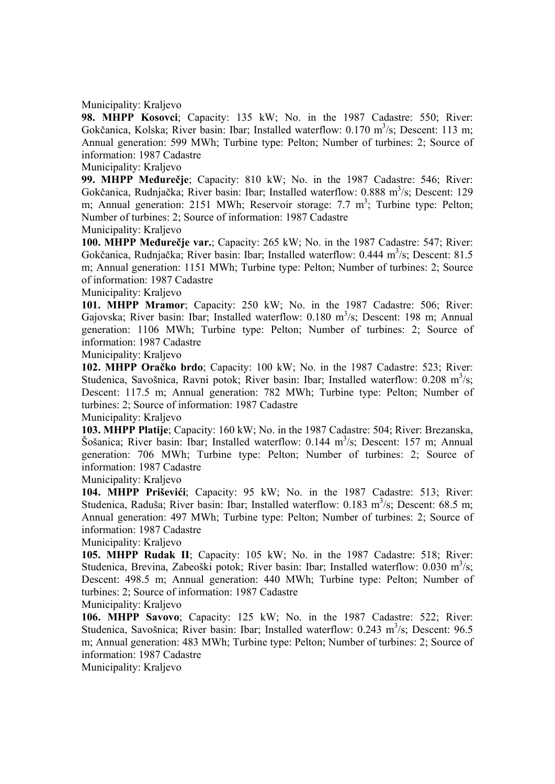Municipality: Kraljevo

**98. MHPP Kosovci**; Capacity: 135 kW; No. in the 1987 Cadastre: 550; River: Gokčanica, Kolska; River basin: Ibar; Installed waterflow: 0.170 m<sup>3</sup>/s; Descent: 113 m; Annual generation: 599 MWh; Turbine type: Pelton; Number of turbines: 2; Source of information: 1987 Cadastre

Municipality: Kraljevo

**99. MHPP Međurečje**; Capacity: 810 kW; No. in the 1987 Cadastre: 546; River: Gokčanica, Rudnjačka; River basin: Ibar; Installed waterflow: 0.888 m<sup>3</sup>/s; Descent: 129 m; Annual generation: 2151 MWh; Reservoir storage: 7.7  $m^3$ ; Turbine type: Pelton; Number of turbines: 2; Source of information: 1987 Cadastre

Municipality: Kraljevo

**100. MHPP Međurečje var.**; Capacity: 265 kW; No. in the 1987 Cadastre: 547; River: Gokčanica, Rudnjačka; River basin: Ibar; Installed waterflow: 0.444 m<sup>3</sup>/s; Descent: 81.5 m; Annual generation: 1151 MWh; Turbine type: Pelton; Number of turbines: 2; Source of information: 1987 Cadastre

Municipality: Kraljevo

**101. MHPP Mramor**; Capacity: 250 kW; No. in the 1987 Cadastre: 506; River: Gajovska; River basin: Ibar; Installed waterflow:  $0.180 \text{ m}^3/\text{s}$ ; Descent: 198 m; Annual generation: 1106 MWh; Turbine type: Pelton; Number of turbines: 2; Source of information: 1987 Cadastre

Municipality: Kraljevo

**102. MHPP Oračko brdo**; Capacity: 100 kW; No. in the 1987 Cadastre: 523; River: Studenica, Savošnica, Ravni potok; River basin: Ibar; Installed waterflow:  $0.208 \text{ m}^3/\text{s}$ ; Descent: 117.5 m; Annual generation: 782 MWh; Turbine type: Pelton; Number of turbines: 2; Source of information: 1987 Cadastre

Municipality: Kraljevo

**103. MHPP Platije**; Capacity: 160 kW; No. in the 1987 Cadastre: 504; River: Brezanska, Šošanica; River basin: Ibar; Installed waterflow: 0.144 m<sup>3</sup>/s; Descent: 157 m; Annual generation: 706 MWh; Turbine type: Pelton; Number of turbines: 2; Source of information: 1987 Cadastre

Municipality: Kraljevo

**104. MHPP Priševići**; Capacity: 95 kW; No. in the 1987 Cadastre: 513; River: Studenica, Raduša; River basin: Ibar; Installed waterflow: 0.183 m<sup>3</sup>/s; Descent: 68.5 m; Annual generation: 497 MWh; Turbine type: Pelton; Number of turbines: 2; Source of information: 1987 Cadastre

Municipality: Kraljevo

**105. MHPP Rudak II**; Capacity: 105 kW; No. in the 1987 Cadastre: 518; River: Studenica, Brevina, Zabeoški potok; River basin: Ibar; Installed waterflow:  $0.030 \text{ m}^3/\text{s}$ ; Descent: 498.5 m; Annual generation: 440 MWh; Turbine type: Pelton; Number of turbines: 2; Source of information: 1987 Cadastre

Municipality: Kraljevo

**106. MHPP Savovo**; Capacity: 125 kW; No. in the 1987 Cadastre: 522; River: Studenica, Savošnica; River basin: Ibar; Installed waterflow: 0.243 m<sup>3</sup>/s; Descent: 96.5 m; Annual generation: 483 MWh; Turbine type: Pelton; Number of turbines: 2; Source of information: 1987 Cadastre

Municipality: Kraljevo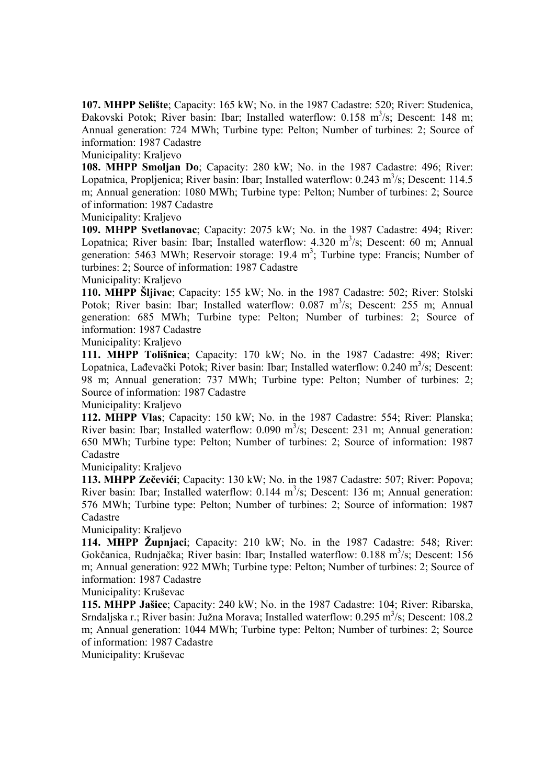**107. MHPP Selište**; Capacity: 165 kW; No. in the 1987 Cadastre: 520; River: Studenica, Đakovski Potok; River basin: Ibar; Installed waterflow: 0.158 m<sup>3</sup>/s; Descent: 148 m; Annual generation: 724 MWh; Turbine type: Pelton; Number of turbines: 2; Source of information: 1987 Cadastre

Municipality: Kraljevo

**108. MHPP Smoljan Do**; Capacity: 280 kW; No. in the 1987 Cadastre: 496; River: Lopatnica, Propljenica; River basin: Ibar; Installed waterflow: 0.243 m<sup>3</sup>/s; Descent: 114.5 m; Annual generation: 1080 MWh; Turbine type: Pelton; Number of turbines: 2; Source of information: 1987 Cadastre

Municipality: Kraljevo

**109. MHPP Svetlanovac**; Capacity: 2075 kW; No. in the 1987 Cadastre: 494; River: Lopatnica; River basin: Ibar; Installed waterflow: 4.320 m<sup>3</sup>/s; Descent: 60 m; Annual generation: 5463 MWh; Reservoir storage: 19.4 m<sup>3</sup>; Turbine type: Francis; Number of turbines: 2; Source of information: 1987 Cadastre

## Municipality: Kraljevo

**110. MHPP Šljivac**; Capacity: 155 kW; No. in the 1987 Cadastre: 502; River: Stolski Potok; River basin: Ibar; Installed waterflow: 0.087 m<sup>3</sup>/s; Descent: 255 m; Annual generation: 685 MWh; Turbine type: Pelton; Number of turbines: 2; Source of information: 1987 Cadastre

Municipality: Kraljevo

**111. MHPP Tolišnica**; Capacity: 170 kW; No. in the 1987 Cadastre: 498; River: Lopatnica, Lađevački Potok; River basin: Ibar; Installed waterflow: 0.240 m<sup>3</sup>/s; Descent: 98 m; Annual generation: 737 MWh; Turbine type: Pelton; Number of turbines: 2; Source of information: 1987 Cadastre

Municipality: Kraljevo

**112. MHPP Vlas**; Capacity: 150 kW; No. in the 1987 Cadastre: 554; River: Planska; River basin: Ibar; Installed waterflow:  $0.090 \text{ m}^3/\text{s}$ ; Descent: 231 m; Annual generation: 650 MWh; Turbine type: Pelton; Number of turbines: 2; Source of information: 1987 Cadastre

Municipality: Kraljevo

**113. MHPP Zečevići**; Capacity: 130 kW; No. in the 1987 Cadastre: 507; River: Popova; River basin: Ibar; Installed waterflow:  $0.144 \text{ m}^3/\text{s}$ ; Descent: 136 m; Annual generation: 576 MWh; Turbine type: Pelton; Number of turbines: 2; Source of information: 1987 Cadastre

Municipality: Kraljevo

**114. MHPP Župnjaci**; Capacity: 210 kW; No. in the 1987 Cadastre: 548; River: Gokčanica, Rudnjačka; River basin: Ibar; Installed waterflow: 0.188 m<sup>3</sup>/s; Descent: 156 m; Annual generation: 922 MWh; Turbine type: Pelton; Number of turbines: 2; Source of information: 1987 Cadastre

Municipality: Kruševac

**115. MHPP Jašice**; Capacity: 240 kW; No. in the 1987 Cadastre: 104; River: Ribarska, Srndaljska r.; River basin: Južna Morava; Installed waterflow: 0.295 m<sup>3</sup>/s; Descent: 108.2 m; Annual generation: 1044 MWh; Turbine type: Pelton; Number of turbines: 2; Source of information: 1987 Cadastre

Municipality: Kruševac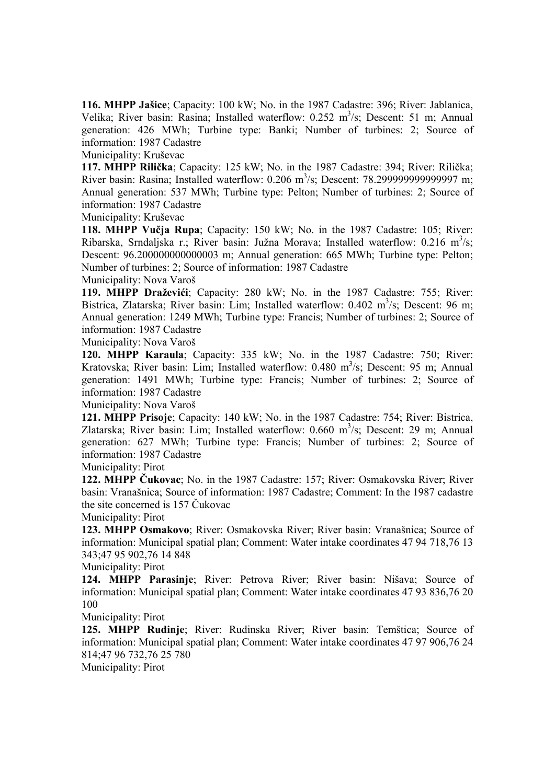**116. MHPP Jašice**; Capacity: 100 kW; No. in the 1987 Cadastre: 396; River: Jablanica, Velika; River basin: Rasina; Installed waterflow: 0.252 m<sup>3</sup>/s; Descent: 51 m; Annual generation: 426 MWh; Turbine type: Banki; Number of turbines: 2; Source of information: 1987 Cadastre

Municipality: Kruševac

**117. MHPP Rilička**; Capacity: 125 kW; No. in the 1987 Cadastre: 394; River: Rilička; River basin: Rasina; Installed waterflow: 0.206 m<sup>3</sup>/s; Descent: 78.2999999999999997 m; Annual generation: 537 MWh; Turbine type: Pelton; Number of turbines: 2; Source of information: 1987 Cadastre

Municipality: Kruševac

**118. MHPP Vučja Rupa**; Capacity: 150 kW; No. in the 1987 Cadastre: 105; River: Ribarska, Srndaljska r.; River basin: Južna Morava; Installed waterflow: 0.216 m<sup>3</sup>/s; Descent: 96.200000000000003 m; Annual generation: 665 MWh; Turbine type: Pelton; Number of turbines: 2; Source of information: 1987 Cadastre

Municipality: Nova Varoš

**119. MHPP Draževići**; Capacity: 280 kW; No. in the 1987 Cadastre: 755; River: Bistrica, Zlatarska; River basin: Lim; Installed waterflow: 0.402 m<sup>3</sup>/s; Descent: 96 m; Annual generation: 1249 MWh; Turbine type: Francis; Number of turbines: 2; Source of information: 1987 Cadastre

Municipality: Nova Varoš

**120. MHPP Karaula**; Capacity: 335 kW; No. in the 1987 Cadastre: 750; River: Kratovska; River basin: Lim; Installed waterflow: 0.480 m<sup>3</sup>/s; Descent: 95 m; Annual generation: 1491 MWh; Turbine type: Francis; Number of turbines: 2; Source of information: 1987 Cadastre

Municipality: Nova Varoš

**121. MHPP Prisoje**; Capacity: 140 kW; No. in the 1987 Cadastre: 754; River: Bistrica, Zlatarska; River basin: Lim; Installed waterflow: 0.660 m<sup>3</sup>/s; Descent: 29 m; Annual generation: 627 MWh; Turbine type: Francis; Number of turbines: 2; Source of information: 1987 Cadastre

Municipality: Pirot

**122. MHPP Čukovac**; No. in the 1987 Cadastre: 157; River: Osmakovska River; River basin: Vranašnica; Source of information: 1987 Cadastre; Comment: In the 1987 cadastre the site concerned is 157 Čukovac

Municipality: Pirot

**123. MHPP Osmakovo**; River: Osmakovska River; River basin: Vranašnica; Source of information: Municipal spatial plan; Comment: Water intake coordinates 47 94 718,76 13 343;47 95 902,76 14 848

Municipality: Pirot

**124. MHPP Parasinje**; River: Petrova River; River basin: Nišava; Source of information: Municipal spatial plan; Comment: Water intake coordinates 47 93 836,76 20 100

Municipality: Pirot

**125. MHPP Rudinje**; River: Rudinska River; River basin: Temštica; Source of information: Municipal spatial plan; Comment: Water intake coordinates 47 97 906,76 24 814;47 96 732,76 25 780

Municipality: Pirot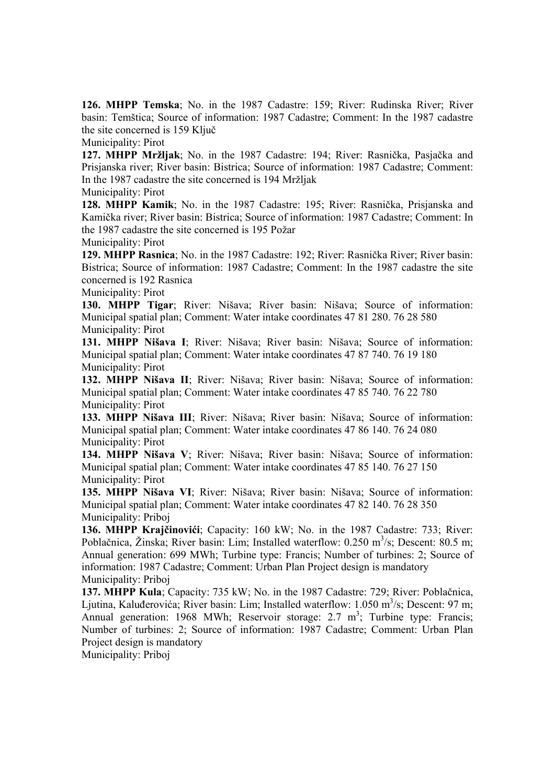**126. MHPP Temska**; No. in the 1987 Cadastre: 159; River: Rudinska River; River basin: Temštica; Source of information: 1987 Cadastre; Comment: In the 1987 cadastre the site concerned is 159 Ključ

Municipality: Pirot

**127. MHPP Mržljak**; No. in the 1987 Cadastre: 194; River: Rasnička, Pasjačka and Prisjanska river; River basin: Bistrica; Source of information: 1987 Cadastre; Comment: In the 1987 cadastre the site concerned is 194 Mržljak

Municipality: Pirot

**128. MHPP Kamik**; No. in the 1987 Cadastre: 195; River: Rasnička, Prisjanska and Kamička river; River basin: Bistrica; Source of information: 1987 Cadastre; Comment: In the 1987 cadastre the site concerned is 195 Požar

Municipality: Pirot

**129. MHPP Rasnica**; No. in the 1987 Cadastre: 192; River: Rasnička River; River basin: Bistrica; Source of information: 1987 Cadastre; Comment: In the 1987 cadastre the site concerned is 192 Rasnica

Municipality: Pirot

**130. MHPP Tigar**; River: Nišava; River basin: Nišava; Source of information: Municipal spatial plan; Comment: Water intake coordinates 47 81 280. 76 28 580 Municipality: Pirot

**131. MHPP Nišava I**; River: Nišava; River basin: Nišava; Source of information: Municipal spatial plan; Comment: Water intake coordinates 47 87 740. 76 19 180 Municipality: Pirot

**132. MHPP Nišava II**; River: Nišava; River basin: Nišava; Source of information: Municipal spatial plan; Comment: Water intake coordinates 47 85 740. 76 22 780 Municipality: Pirot

**133. MHPP Nišava III**; River: Nišava; River basin: Nišava; Source of information: Municipal spatial plan; Comment: Water intake coordinates 47 86 140. 76 24 080 Municipality: Pirot

**134. MHPP Nišava V**; River: Nišava; River basin: Nišava; Source of information: Municipal spatial plan; Comment: Water intake coordinates 47 85 140. 76 27 150 Municipality: Pirot

**135. MHPP Nišava VI**; River: Nišava; River basin: Nišava; Source of information: Municipal spatial plan; Comment: Water intake coordinates 47 82 140. 76 28 350 Municipality: Priboj

**136. MHPP Krajčinovići**; Capacity: 160 kW; No. in the 1987 Cadastre: 733; River: Poblačnica, Žinska; River basin: Lim; Installed waterflow: 0.250 m<sup>3</sup>/s; Descent: 80.5 m; Annual generation: 699 MWh; Turbine type: Francis; Number of turbines: 2; Source of information: 1987 Cadastre; Comment: Urban Plan Project design is mandatory Municipality: Priboj

**137. MHPP Kula**; Capacity: 735 kW; No. in the 1987 Cadastre: 729; River: Poblačnica, Ljutina, Kaluđerovića; River basin: Lim; Installed waterflow: 1.050 m<sup>3</sup>/s; Descent: 97 m; Annual generation: 1968 MWh; Reservoir storage:  $2.7 \text{ m}^3$ ; Turbine type: Francis; Number of turbines: 2; Source of information: 1987 Cadastre; Comment: Urban Plan Project design is mandatory

Municipality: Priboj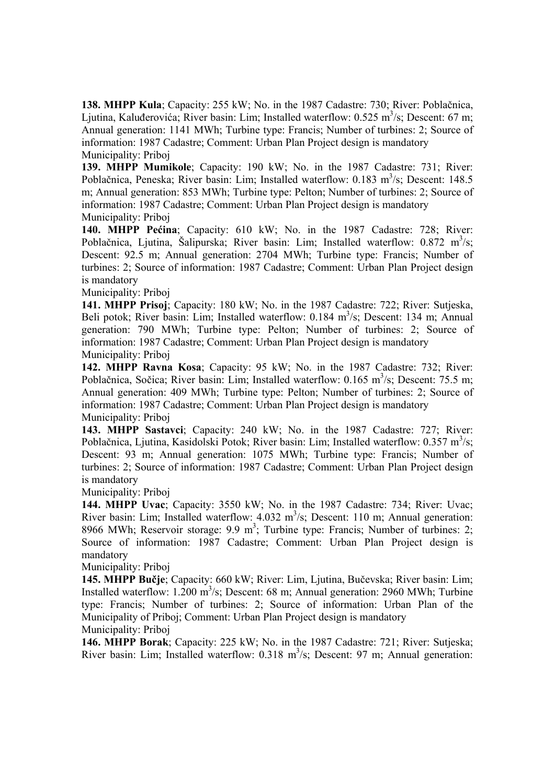**138. MHPP Kula**; Capacity: 255 kW; No. in the 1987 Cadastre: 730; River: Poblačnica, Ljutina, Kaluđerovića; River basin: Lim; Installed waterflow:  $0.525 \text{ m}^3/\text{s}$ ; Descent: 67 m; Annual generation: 1141 MWh; Turbine type: Francis; Number of turbines: 2; Source of information: 1987 Cadastre; Comment: Urban Plan Project design is mandatory Municipality: Priboj

**139. MHPP Mumikole**; Capacity: 190 kW; No. in the 1987 Cadastre: 731; River: Poblačnica, Peneska; River basin: Lim; Installed waterflow: 0.183 m<sup>3</sup>/s; Descent: 148.5 m; Annual generation: 853 MWh; Turbine type: Pelton; Number of turbines: 2; Source of information: 1987 Cadastre; Comment: Urban Plan Project design is mandatory Municipality: Priboj

**140. MHPP Pećina**; Capacity: 610 kW; No. in the 1987 Cadastre: 728; River: Poblačnica, Ljutina, Šalipurska; River basin: Lim; Installed waterflow:  $0.872 \text{ m}^3/\text{s}$ ; Descent: 92.5 m; Annual generation: 2704 MWh; Turbine type: Francis; Number of turbines: 2; Source of information: 1987 Cadastre; Comment: Urban Plan Project design is mandatory

Municipality: Priboj

**141. MHPP Prisoj**; Capacity: 180 kW; No. in the 1987 Cadastre: 722; River: Sutjeska, Beli potok; River basin: Lim; Installed waterflow: 0.184 m<sup>3</sup>/s; Descent: 134 m; Annual generation: 790 MWh; Turbine type: Pelton; Number of turbines: 2; Source of information: 1987 Cadastre; Comment: Urban Plan Project design is mandatory Municipality: Priboj

**142. MHPP Ravna Kosa**; Capacity: 95 kW; No. in the 1987 Cadastre: 732; River: Poblačnica, Sočica; River basin: Lim; Installed waterflow: 0.165 m<sup>3</sup>/s; Descent: 75.5 m; Annual generation: 409 MWh; Turbine type: Pelton; Number of turbines: 2; Source of information: 1987 Cadastre; Comment: Urban Plan Project design is mandatory Municipality: Priboj

**143. MHPP Sastavci**; Capacity: 240 kW; No. in the 1987 Cadastre: 727; River: Poblačnica, Ljutina, Kasidolski Potok; River basin: Lim; Installed waterflow:  $0.357 \text{ m}^3/\text{s}$ ; Descent: 93 m; Annual generation: 1075 MWh; Turbine type: Francis; Number of turbines: 2; Source of information: 1987 Cadastre; Comment: Urban Plan Project design is mandatory

Municipality: Priboj

**144. MHPP Uvac**; Capacity: 3550 kW; No. in the 1987 Cadastre: 734; River: Uvac; River basin: Lim; Installed waterflow:  $4.032 \text{ m}^3/\text{s}$ ; Descent: 110 m; Annual generation: 8966 MWh; Reservoir storage:  $9.9 \text{ m}^3$ ; Turbine type: Francis; Number of turbines: 2; Source of information: 1987 Cadastre; Comment: Urban Plan Project design is mandatory

Municipality: Priboj

**145. MHPP Bučje**; Capacity: 660 kW; River: Lim, Ljutina, Bučevska; River basin: Lim; Installed waterflow:  $1.200 \text{ m}^3/\text{s}$ ; Descent: 68 m; Annual generation: 2960 MWh; Turbine type: Francis; Number of turbines: 2; Source of information: Urban Plan of the Municipality of Priboj; Comment: Urban Plan Project design is mandatory Municipality: Priboj

**146. MHPP Borak**; Capacity: 225 kW; No. in the 1987 Cadastre: 721; River: Sutjeska; River basin: Lim; Installed waterflow:  $0.318 \text{ m}^3/\text{s}$ ; Descent: 97 m; Annual generation: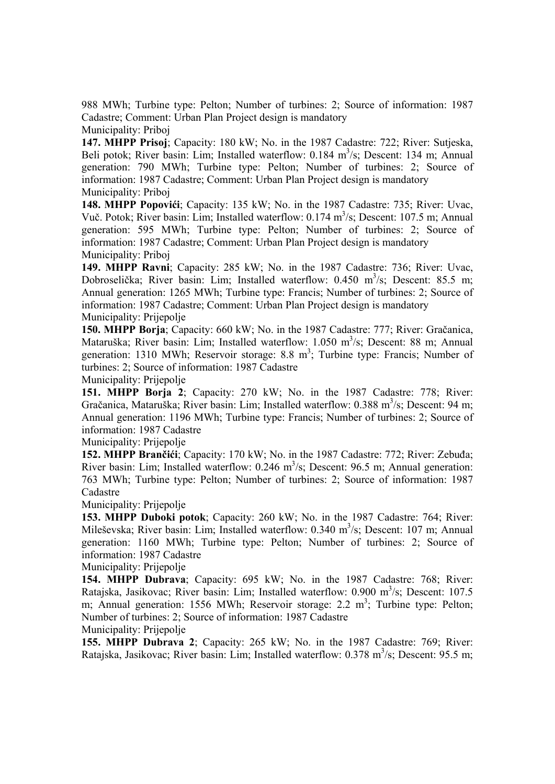988 MWh; Turbine type: Pelton; Number of turbines: 2; Source of information: 1987 Cadastre; Comment: Urban Plan Project design is mandatory Municipality: Priboj

**147. MHPP Prisoj**; Capacity: 180 kW; No. in the 1987 Cadastre: 722; River: Sutjeska, Beli potok; River basin: Lim; Installed waterflow: 0.184 m<sup>3</sup>/s; Descent: 134 m; Annual generation: 790 MWh; Turbine type: Pelton; Number of turbines: 2; Source of information: 1987 Cadastre; Comment: Urban Plan Project design is mandatory Municipality: Priboj

**148. MHPP Popovići**; Capacity: 135 kW; No. in the 1987 Cadastre: 735; River: Uvac, Vuč. Potok; River basin: Lim; Installed waterflow: 0.174 m<sup>3</sup>/s; Descent: 107.5 m; Annual generation: 595 MWh; Turbine type: Pelton; Number of turbines: 2; Source of information: 1987 Cadastre; Comment: Urban Plan Project design is mandatory Municipality: Priboj

**149. MHPP Ravni**; Capacity: 285 kW; No. in the 1987 Cadastre: 736; River: Uvac, Dobroselička; River basin: Lim; Installed waterflow: 0.450 m<sup>3</sup>/s; Descent: 85.5 m; Annual generation: 1265 MWh; Turbine type: Francis; Number of turbines: 2; Source of information: 1987 Cadastre; Comment: Urban Plan Project design is mandatory Municipality: Prijepolje

**150. MHPP Borja**; Capacity: 660 kW; No. in the 1987 Cadastre: 777; River: Gračanica, Mataruška; River basin: Lim; Installed waterflow: 1.050 m<sup>3</sup>/s; Descent: 88 m; Annual generation: 1310 MWh; Reservoir storage: 8.8  $m^3$ ; Turbine type: Francis; Number of turbines: 2; Source of information: 1987 Cadastre

Municipality: Prijepolje

**151. MHPP Borja 2**; Capacity: 270 kW; No. in the 1987 Cadastre: 778; River: Gračanica, Mataruška; River basin: Lim; Installed waterflow: 0.388 m<sup>3</sup>/s; Descent: 94 m; Annual generation: 1196 MWh; Turbine type: Francis; Number of turbines: 2; Source of information: 1987 Cadastre

Municipality: Prijepolje

**152. MHPP Brančići**; Capacity: 170 kW; No. in the 1987 Cadastre: 772; River: Zebuđa; River basin: Lim; Installed waterflow:  $0.246 \text{ m}^3/\text{s}$ ; Descent: 96.5 m; Annual generation: 763 MWh; Turbine type: Pelton; Number of turbines: 2; Source of information: 1987 Cadastre

Municipality: Prijepolje

**153. MHPP Duboki potok**; Capacity: 260 kW; No. in the 1987 Cadastre: 764; River: Mileševska; River basin: Lim; Installed waterflow: 0.340 m<sup>3</sup>/s; Descent: 107 m; Annual generation: 1160 MWh; Turbine type: Pelton; Number of turbines: 2; Source of information: 1987 Cadastre

Municipality: Prijepolje

**154. MHPP Dubrava**; Capacity: 695 kW; No. in the 1987 Cadastre: 768; River: Ratajska, Jasikovac; River basin: Lim; Installed waterflow: 0.900 m<sup>3</sup>/s; Descent: 107.5 m; Annual generation: 1556 MWh; Reservoir storage: 2.2  $m^3$ ; Turbine type: Pelton; Number of turbines: 2; Source of information: 1987 Cadastre Municipality: Prijepolje

**155. MHPP Dubrava 2**; Capacity: 265 kW; No. in the 1987 Cadastre: 769; River: Ratajska, Jasikovac; River basin: Lim; Installed waterflow:  $0.378 \text{ m}^3/\text{s}$ ; Descent: 95.5 m;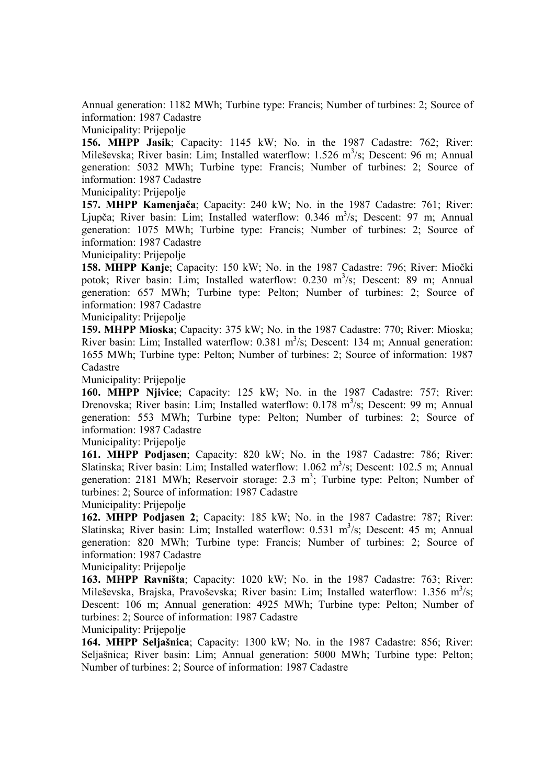Annual generation: 1182 MWh; Turbine type: Francis; Number of turbines: 2; Source of information: 1987 Cadastre

Municipality: Prijepolje

**156. MHPP Jasik**; Capacity: 1145 kW; No. in the 1987 Cadastre: 762; River: Mileševska; River basin: Lim; Installed waterflow: 1.526 m<sup>3</sup>/s; Descent: 96 m; Annual generation: 5032 MWh; Turbine type: Francis; Number of turbines: 2; Source of information: 1987 Cadastre

Municipality: Prijepolje

**157. MHPP Kamenjača**; Capacity: 240 kW; No. in the 1987 Cadastre: 761; River: Ljupča; River basin: Lim; Installed waterflow: 0.346 m<sup>3</sup>/s; Descent: 97 m; Annual generation: 1075 MWh; Turbine type: Francis; Number of turbines: 2; Source of information: 1987 Cadastre

Municipality: Prijepolje

**158. MHPP Kanje**; Capacity: 150 kW; No. in the 1987 Cadastre: 796; River: Miočki potok; River basin: Lim; Installed waterflow: 0.230 m<sup>3</sup>/s; Descent: 89 m; Annual generation: 657 MWh; Turbine type: Pelton; Number of turbines: 2; Source of information: 1987 Cadastre

Municipality: Prijepolje

**159. MHPP Mioska**; Capacity: 375 kW; No. in the 1987 Cadastre: 770; River: Mioska; River basin: Lim; Installed waterflow:  $0.381 \text{ m}^3/\text{s}$ ; Descent: 134 m; Annual generation: 1655 MWh; Turbine type: Pelton; Number of turbines: 2; Source of information: 1987 Cadastre

Municipality: Prijepolje

**160. MHPP Njivice**; Capacity: 125 kW; No. in the 1987 Cadastre: 757; River: Drenovska; River basin: Lim; Installed waterflow: 0.178 m<sup>3</sup>/s; Descent: 99 m; Annual generation: 553 MWh; Turbine type: Pelton; Number of turbines: 2; Source of information: 1987 Cadastre

Municipality: Prijepolje

**161. MHPP Podjasen**; Capacity: 820 kW; No. in the 1987 Cadastre: 786; River: Slatinska; River basin: Lim; Installed waterflow:  $1.062 \text{ m}^3/\text{s}$ ; Descent: 102.5 m; Annual generation: 2181 MWh; Reservoir storage: 2.3 m<sup>3</sup>; Turbine type: Pelton; Number of turbines: 2; Source of information: 1987 Cadastre

Municipality: Prijepolje

**162. MHPP Podjasen 2**; Capacity: 185 kW; No. in the 1987 Cadastre: 787; River: Slatinska; River basin: Lim; Installed waterflow: 0.531 m<sup>3</sup>/s; Descent: 45 m; Annual generation: 820 MWh; Turbine type: Francis; Number of turbines: 2; Source of information: 1987 Cadastre

Municipality: Prijepolje

**163. MHPP Ravništa**; Capacity: 1020 kW; No. in the 1987 Cadastre: 763; River: Mileševska, Brajska, Pravoševska; River basin: Lim; Installed waterflow: 1.356 m<sup>3</sup>/s; Descent: 106 m; Annual generation: 4925 MWh; Turbine type: Pelton; Number of turbines: 2; Source of information: 1987 Cadastre

Municipality: Prijepolje

**164. MHPP Seljašnica**; Capacity: 1300 kW; No. in the 1987 Cadastre: 856; River: Seljašnica; River basin: Lim; Annual generation: 5000 MWh; Turbine type: Pelton; Number of turbines: 2; Source of information: 1987 Cadastre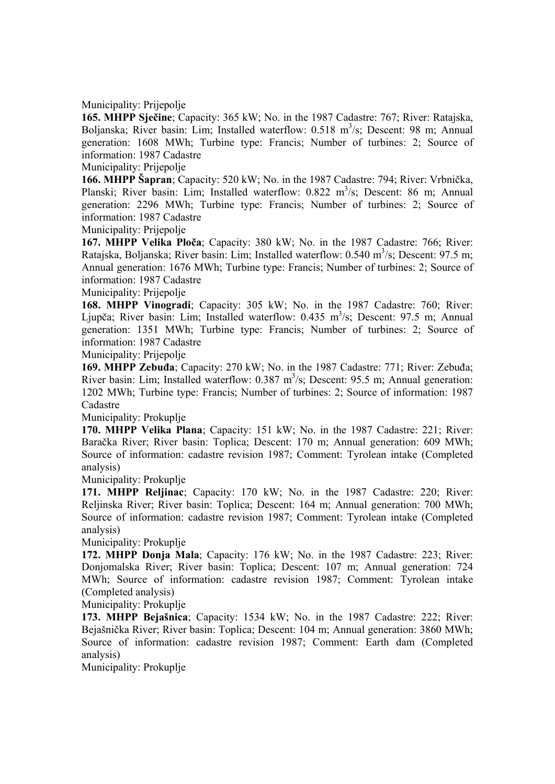Municipality: Prijepolje

**165. MHPP Sječine**; Capacity: 365 kW; No. in the 1987 Cadastre: 767; River: Ratajska, Boljanska; River basin: Lim; Installed waterflow: 0.518 m<sup>3</sup>/s; Descent: 98 m; Annual generation: 1608 MWh; Turbine type: Francis; Number of turbines: 2; Source of information: 1987 Cadastre

Municipality: Prijepolje

**166. MHPP Šapran**; Capacity: 520 kW; No. in the 1987 Cadastre: 794; River: Vrbnička, Planski; River basin: Lim; Installed waterflow: 0.822 m<sup>3</sup>/s; Descent: 86 m; Annual generation: 2296 MWh; Turbine type: Francis; Number of turbines: 2; Source of information: 1987 Cadastre

Municipality: Prijepolje

**167. MHPP Velika Ploča**; Capacity: 380 kW; No. in the 1987 Cadastre: 766; River: Ratajska, Boljanska; River basin: Lim; Installed waterflow:  $0.540 \text{ m}^3/\text{s}$ ; Descent: 97.5 m; Annual generation: 1676 MWh; Turbine type: Francis; Number of turbines: 2; Source of information: 1987 Cadastre

Municipality: Prijepolje

**168. MHPP Vinogradi**; Capacity: 305 kW; No. in the 1987 Cadastre: 760; River: Ljupča; River basin: Lim; Installed waterflow: 0.435 m<sup>3</sup>/s; Descent: 97.5 m; Annual generation: 1351 MWh; Turbine type: Francis; Number of turbines: 2; Source of information: 1987 Cadastre

Municipality: Prijepolje

**169. MHPP Zebuđa**; Capacity: 270 kW; No. in the 1987 Cadastre: 771; River: Zebuđa; River basin: Lim; Installed waterflow:  $0.387 \text{ m}^3/\text{s}$ ; Descent: 95.5 m; Annual generation: 1202 MWh; Turbine type: Francis; Number of turbines: 2; Source of information: 1987 Cadastre

Municipality: Prokuplje

**170. MHPP Velika Plana**; Capacity: 151 kW; No. in the 1987 Cadastre: 221; River: Baračka River; River basin: Toplica; Descent: 170 m; Annual generation: 609 MWh; Source of information: cadastre revision 1987; Comment: Tyrolean intake (Completed analysis)

Municipality: Prokuplje

**171. MHPP Reljinac**; Capacity: 170 kW; No. in the 1987 Cadastre: 220; River: Reljinska River; River basin: Toplica; Descent: 164 m; Annual generation: 700 MWh; Source of information: cadastre revision 1987; Comment: Tyrolean intake (Completed analysis)

Municipality: Prokuplje

**172. MHPP Donja Mala**; Capacity: 176 kW; No. in the 1987 Cadastre: 223; River: Donjomalska River; River basin: Toplica; Descent: 107 m; Annual generation: 724 MWh; Source of information: cadastre revision 1987; Comment: Tyrolean intake (Completed analysis)

Municipality: Prokuplje

**173. MHPP Bejašnica**; Capacity: 1534 kW; No. in the 1987 Cadastre: 222; River: Bejašnička River; River basin: Toplica; Descent: 104 m; Annual generation: 3860 MWh; Source of information: cadastre revision 1987; Comment: Earth dam (Completed analysis)

Municipality: Prokuplje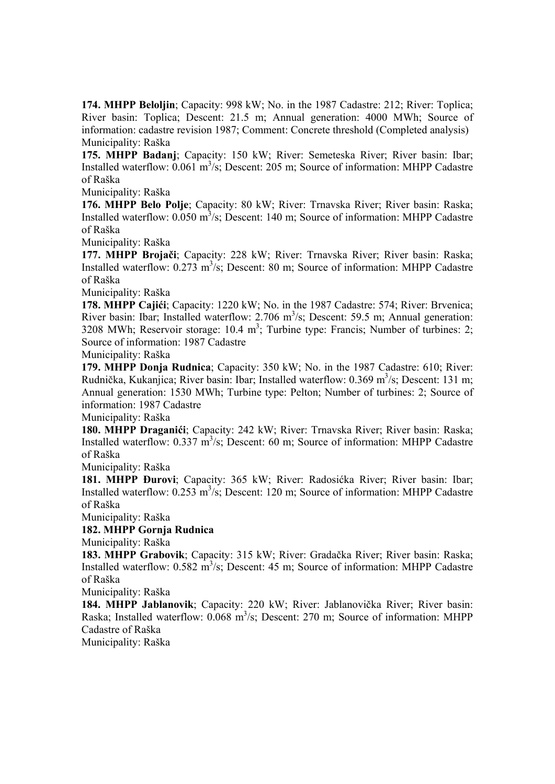**174. MHPP Beloljin**; Capacity: 998 kW; No. in the 1987 Cadastre: 212; River: Toplica; River basin: Toplica; Descent: 21.5 m; Annual generation: 4000 MWh; Source of information: cadastre revision 1987; Comment: Concrete threshold (Completed analysis) Municipality: Raška

**175. MHPP Badanj**; Capacity: 150 kW; River: Semeteska River; River basin: Ibar; Installed waterflow:  $0.061 \text{ m}^3/\text{s}$ ; Descent: 205 m; Source of information: MHPP Cadastre of Raška

Municipality: Raška

**176. MHPP Belo Polje**; Capacity: 80 kW; River: Trnavska River; River basin: Raska; Installed waterflow:  $0.050 \text{ m}^3/\text{s}$ ; Descent: 140 m; Source of information: MHPP Cadastre of Raška

Municipality: Raška

**177. MHPP Brojači**; Capacity: 228 kW; River: Trnavska River; River basin: Raska; Installed waterflow:  $0.273 \text{ m}^3/\text{s}$ ; Descent: 80 m; Source of information: MHPP Cadastre of Raška

Municipality: Raška

**178. MHPP Cajići**; Capacity: 1220 kW; No. in the 1987 Cadastre: 574; River: Brvenica; River basin: Ibar; Installed waterflow: 2.706  $m^3$ /s; Descent: 59.5 m; Annual generation: 3208 MWh; Reservoir storage:  $10.4 \text{ m}^3$ ; Turbine type: Francis; Number of turbines: 2; Source of information: 1987 Cadastre

Municipality: Raška

**179. MHPP Donja Rudnica**; Capacity: 350 kW; No. in the 1987 Cadastre: 610; River: Rudnička, Kukanjica; River basin: Ibar; Installed waterflow: 0.369 m<sup>3</sup>/s; Descent: 131 m; Annual generation: 1530 MWh; Turbine type: Pelton; Number of turbines: 2; Source of information: 1987 Cadastre

Municipality: Raška

**180. MHPP Draganići**; Capacity: 242 kW; River: Trnavska River; River basin: Raska; Installed waterflow:  $0.337 \text{ m}^3/\text{s}$ ; Descent: 60 m; Source of information: MHPP Cadastre of Raška

Municipality: Raška

**181. MHPP Đurovi**; Capacity: 365 kW; River: Radosićka River; River basin: Ibar; Installed waterflow:  $0.253 \text{ m}^3/\text{s}$ ; Descent: 120 m; Source of information: MHPP Cadastre of Raška

Municipality: Raška

# **182. MHPP Gornja Rudnica**

Municipality: Raška

**183. MHPP Grabovik**; Capacity: 315 kW; River: Gradačka River; River basin: Raska; Installed waterflow:  $0.582 \text{ m}^3/\text{s}$ ; Descent: 45 m; Source of information: MHPP Cadastre of Raška

Municipality: Raška

**184. MHPP Jablanovik**; Capacity: 220 kW; River: Jablanovička River; River basin: Raska; Installed waterflow: 0.068 m<sup>3</sup>/s; Descent: 270 m; Source of information: MHPP Cadastre of Raška

Municipality: Raška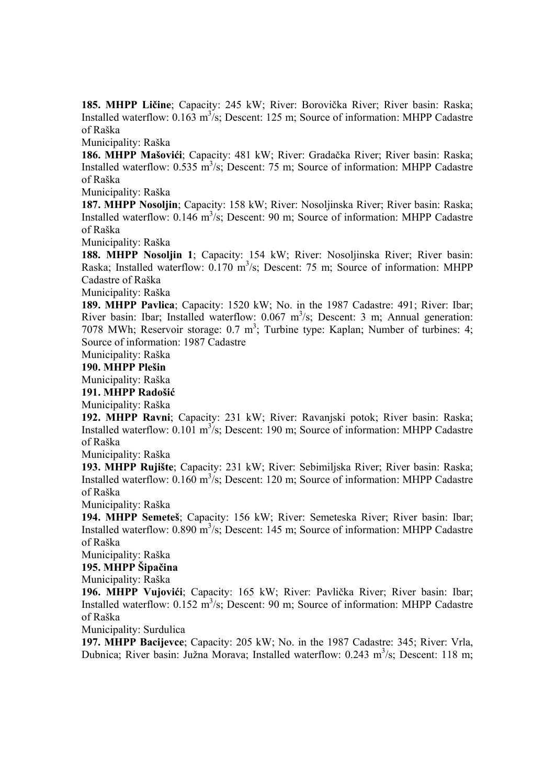**185. MHPP Ličine**; Capacity: 245 kW; River: Borovička River; River basin: Raska; Installed waterflow:  $0.163 \text{ m}^3/\text{s}$ ; Descent: 125 m; Source of information: MHPP Cadastre of Raška

Municipality: Raška

**186. MHPP Mašovići**; Capacity: 481 kW; River: Gradačka River; River basin: Raska; Installed waterflow:  $0.535 \text{ m}^3/\text{s}$ ; Descent: 75 m; Source of information: MHPP Cadastre of Raška

Municipality: Raška

**187. MHPP Nosoljin**; Capacity: 158 kW; River: Nosoljinska River; River basin: Raska; Installed waterflow:  $0.146 \text{ m}^3/\text{s}$ ; Descent: 90 m; Source of information: MHPP Cadastre of Raška

Municipality: Raška

**188. MHPP Nosoljin 1**; Capacity: 154 kW; River: Nosoljinska River; River basin: Raska; Installed waterflow: 0.170 m<sup>3</sup>/s; Descent: 75 m; Source of information: MHPP Cadastre of Raška

Municipality: Raška

**189. MHPP Pavlica**; Capacity: 1520 kW; No. in the 1987 Cadastre: 491; River: Ibar; River basin: Ibar; Installed waterflow:  $0.067 \text{ m}^3/\text{s}$ ; Descent: 3 m; Annual generation: 7078 MWh; Reservoir storage: 0.7 m<sup>3</sup>; Turbine type: Kaplan; Number of turbines: 4; Source of information: 1987 Cadastre

Municipality: Raška

#### **190. MHPP Plešin**

Municipality: Raška

**191. MHPP Radošić**

Municipality: Raška

**192. MHPP Ravni**; Capacity: 231 kW; River: Ravanjski potok; River basin: Raska; Installed waterflow:  $0.101 \text{ m}^3/\text{s}$ ; Descent: 190 m; Source of information: MHPP Cadastre of Raška

Municipality: Raška

**193. MHPP Rujište**; Capacity: 231 kW; River: Sebimiljska River; River basin: Raska; Installed waterflow:  $0.160 \text{ m}^3/\text{s}$ ; Descent: 120 m; Source of information: MHPP Cadastre of Raška

Municipality: Raška

**194. MHPP Semeteš**; Capacity: 156 kW; River: Semeteska River; River basin: Ibar; Installed waterflow:  $0.890 \text{ m}^3/\text{s}$ ; Descent: 145 m; Source of information: MHPP Cadastre of Raška

Municipality: Raška

**195. MHPP Šipačina**

Municipality: Raška

**196. MHPP Vujovići**; Capacity: 165 kW; River: Pavlička River; River basin: Ibar; Installed waterflow:  $0.152 \text{ m}^3/\text{s}$ ; Descent: 90 m; Source of information: MHPP Cadastre of Raška

Municipality: Surdulica

**197. MHPP Bacijevce**; Capacity: 205 kW; No. in the 1987 Cadastre: 345; River: Vrla, Dubnica; River basin: Južna Morava; Installed waterflow: 0.243 m<sup>3</sup>/s; Descent: 118 m;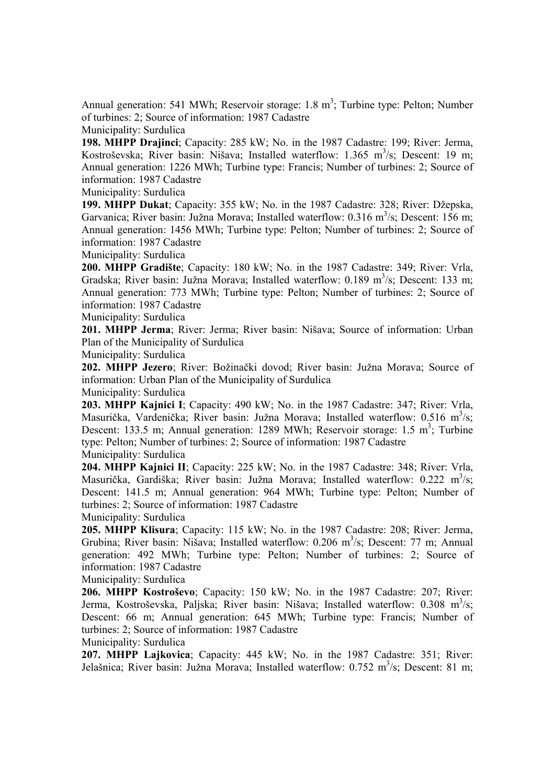Annual generation: 541 MWh; Reservoir storage:  $1.8 \text{ m}^3$ ; Turbine type: Pelton; Number of turbines: 2; Source of information: 1987 Cadastre

Municipality: Surdulica

**198. MHPP Drajinci**; Capacity: 285 kW; No. in the 1987 Cadastre: 199; River: Jerma, Kostroševska; River basin: Nišava; Installed waterflow: 1.365 m<sup>3</sup>/s; Descent: 19 m; Annual generation: 1226 MWh; Turbine type: Francis; Number of turbines: 2; Source of information: 1987 Cadastre

Municipality: Surdulica

**199. MHPP Dukat**; Capacity: 355 kW; No. in the 1987 Cadastre: 328; River: Džepska, Garvanica; River basin: Južna Morava; Installed waterflow: 0.316 m<sup>3</sup>/s; Descent: 156 m; Annual generation: 1456 MWh; Turbine type: Pelton; Number of turbines: 2; Source of information: 1987 Cadastre

Municipality: Surdulica

**200. MHPP Gradište**; Capacity: 180 kW; No. in the 1987 Cadastre: 349; River: Vrla, Gradska; River basin: Južna Morava; Installed waterflow: 0.189 m<sup>3</sup>/s; Descent: 133 m; Annual generation: 773 MWh; Turbine type: Pelton; Number of turbines: 2; Source of information: 1987 Cadastre

Municipality: Surdulica

**201. MHPP Jerma**; River: Jerma; River basin: Nišava; Source of information: Urban Plan of the Municipality of Surdulica

Municipality: Surdulica

**202. MHPP Jezero**; River: Božinački dovod; River basin: Južna Morava; Source of information: Urban Plan of the Municipality of Surdulica

Municipality: Surdulica

**203. MHPP Kajnici I**; Capacity: 490 kW; No. in the 1987 Cadastre: 347; River: Vrla, Masurička, Vardenička; River basin: Južna Morava; Installed waterflow: 0.516 m<sup>3</sup>/s; Descent: 133.5 m; Annual generation: 1289 MWh; Reservoir storage: 1.5 m<sup>3</sup>; Turbine type: Pelton; Number of turbines: 2; Source of information: 1987 Cadastre Municipality: Surdulica

**204. MHPP Kajnici II**; Capacity: 225 kW; No. in the 1987 Cadastre: 348; River: Vrla, Masurička, Gardiška; River basin: Južna Morava; Installed waterflow: 0.222 m<sup>3</sup>/s; Descent: 141.5 m; Annual generation: 964 MWh; Turbine type: Pelton; Number of turbines: 2; Source of information: 1987 Cadastre

Municipality: Surdulica

**205. MHPP Klisura**; Capacity: 115 kW; No. in the 1987 Cadastre: 208; River: Jerma, Grubina; River basin: Nišava; Installed waterflow: 0.206 m<sup>3</sup>/s; Descent: 77 m; Annual generation: 492 MWh; Turbine type: Pelton; Number of turbines: 2; Source of information: 1987 Cadastre

Municipality: Surdulica

**206. MHPP Kostroševo**; Capacity: 150 kW; No. in the 1987 Cadastre: 207; River: Jerma, Kostroševska, Paljska; River basin: Nišava; Installed waterflow: 0.308 m<sup>3</sup>/s; Descent: 66 m; Annual generation: 645 MWh; Turbine type: Francis; Number of turbines: 2; Source of information: 1987 Cadastre

Municipality: Surdulica

**207. MHPP Lajkovica**; Capacity: 445 kW; No. in the 1987 Cadastre: 351; River: Jelašnica; River basin: Južna Morava; Installed waterflow: 0.752 m<sup>3</sup>/s; Descent: 81 m;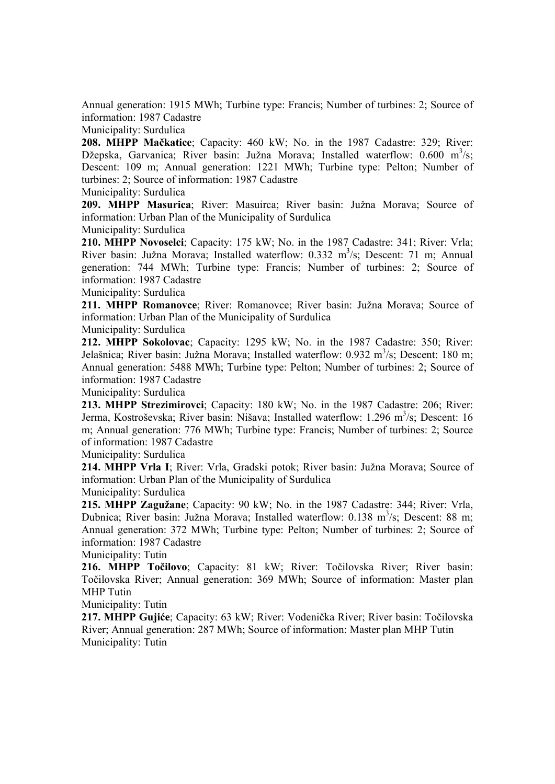Annual generation: 1915 MWh; Turbine type: Francis; Number of turbines: 2; Source of information: 1987 Cadastre

## Municipality: Surdulica

**208. MHPP Mačkatice**; Capacity: 460 kW; No. in the 1987 Cadastre: 329; River: Džepska, Garvanica; River basin: Južna Morava; Installed waterflow:  $0.600 \text{ m}^3/\text{s}$ ; Descent: 109 m; Annual generation: 1221 MWh; Turbine type: Pelton; Number of turbines: 2; Source of information: 1987 Cadastre

Municipality: Surdulica

**209. MHPP Masurica**; River: Masuirca; River basin: Južna Morava; Source of information: Urban Plan of the Municipality of Surdulica

Municipality: Surdulica

**210. MHPP Novoselci**; Capacity: 175 kW; No. in the 1987 Cadastre: 341; River: Vrla; River basin: Južna Morava; Installed waterflow: 0.332 m<sup>3</sup>/s; Descent: 71 m; Annual generation: 744 MWh; Turbine type: Francis; Number of turbines: 2; Source of information: 1987 Cadastre

Municipality: Surdulica

**211. MHPP Romanovce**; River: Romanovce; River basin: Južna Morava; Source of information: Urban Plan of the Municipality of Surdulica

Municipality: Surdulica

**212. MHPP Sokolovac**; Capacity: 1295 kW; No. in the 1987 Cadastre: 350; River: Jelašnica; River basin: Južna Morava; Installed waterflow: 0.932 m<sup>3</sup>/s; Descent: 180 m; Annual generation: 5488 MWh; Turbine type: Pelton; Number of turbines: 2; Source of information: 1987 Cadastre

Municipality: Surdulica

**213. MHPP Strezimirovci**; Capacity: 180 kW; No. in the 1987 Cadastre: 206; River: Jerma, Kostroševska; River basin: Nišava; Installed waterflow: 1.296 m<sup>3</sup>/s; Descent: 16 m; Annual generation: 776 MWh; Turbine type: Francis; Number of turbines: 2; Source of information: 1987 Cadastre

Municipality: Surdulica

**214. MHPP Vrla I**; River: Vrla, Gradski potok; River basin: Južna Morava; Source of information: Urban Plan of the Municipality of Surdulica

Municipality: Surdulica

**215. MHPP Zagužane**; Capacity: 90 kW; No. in the 1987 Cadastre: 344; River: Vrla, Dubnica; River basin: Južna Morava; Installed waterflow: 0.138 m<sup>3</sup>/s; Descent: 88 m; Annual generation: 372 MWh; Turbine type: Pelton; Number of turbines: 2; Source of information: 1987 Cadastre

Municipality: Tutin

**216. MHPP Točilovo**; Capacity: 81 kW; River: Točilovska River; River basin: Točilovska River; Annual generation: 369 MWh; Source of information: Master plan MHP Tutin

Municipality: Tutin

**217. MHPP Gujiće**; Capacity: 63 kW; River: Vodenička River; River basin: Točilovska River; Annual generation: 287 MWh; Source of information: Master plan MHP Tutin Municipality: Tutin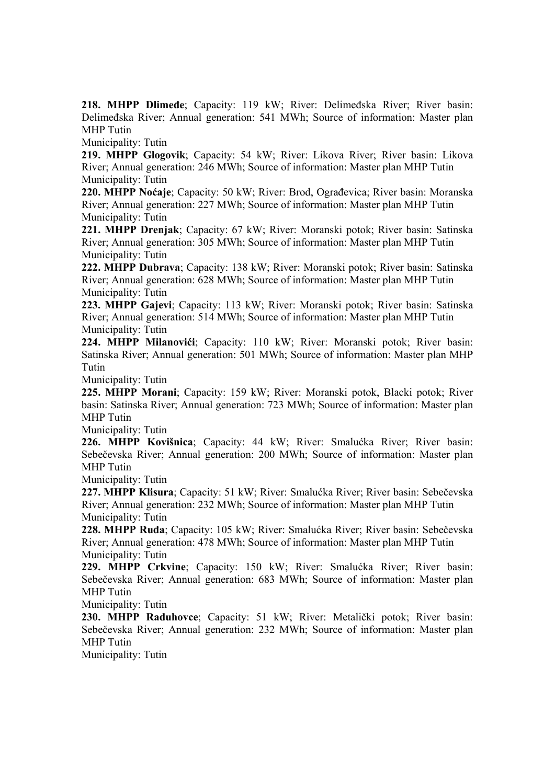**218. MHPP Dlimeđe**; Capacity: 119 kW; River: Delimeđska River; River basin: Delimeđska River; Annual generation: 541 MWh; Source of information: Master plan MHP Tutin

Municipality: Tutin

**219. MHPP Glogovik**; Capacity: 54 kW; River: Likova River; River basin: Likova River; Annual generation: 246 MWh; Source of information: Master plan MHP Tutin Municipality: Tutin

**220. MHPP Noćaje**; Capacity: 50 kW; River: Brod, Ograđevica; River basin: Moranska River; Annual generation: 227 MWh; Source of information: Master plan MHP Tutin Municipality: Tutin

**221. MHPP Drenjak**; Capacity: 67 kW; River: Moranski potok; River basin: Satinska River; Annual generation: 305 MWh; Source of information: Master plan MHP Tutin Municipality: Tutin

**222. MHPP Dubrava**; Capacity: 138 kW; River: Moranski potok; River basin: Satinska River; Annual generation: 628 MWh; Source of information: Master plan MHP Tutin Municipality: Tutin

**223. MHPP Gajevi**; Capacity: 113 kW; River: Moranski potok; River basin: Satinska River; Annual generation: 514 MWh; Source of information: Master plan MHP Tutin Municipality: Tutin

**224. MHPP Milanovići**; Capacity: 110 kW; River: Moranski potok; River basin: Satinska River; Annual generation: 501 MWh; Source of information: Master plan MHP Tutin

Municipality: Tutin

**225. MHPP Morani**; Capacity: 159 kW; River: Moranski potok, Blacki potok; River basin: Satinska River; Annual generation: 723 MWh; Source of information: Master plan MHP Tutin

Municipality: Tutin

**226. MHPP Kovišnica**; Capacity: 44 kW; River: Smalućka River; River basin: Sebečevska River; Annual generation: 200 MWh; Source of information: Master plan MHP Tutin

Municipality: Tutin

**227. MHPP Klisura**; Capacity: 51 kW; River: Smalućka River; River basin: Sebečevska River; Annual generation: 232 MWh; Source of information: Master plan MHP Tutin Municipality: Tutin

**228. MHPP Ruđa**; Capacity: 105 kW; River: Smalućka River; River basin: Sebečevska River; Annual generation: 478 MWh; Source of information: Master plan MHP Tutin Municipality: Tutin

**229. MHPP Crkvine**; Capacity: 150 kW; River: Smalućka River; River basin: Sebečevska River; Annual generation: 683 MWh; Source of information: Master plan MHP Tutin

Municipality: Tutin

**230. MHPP Raduhovce**; Capacity: 51 kW; River: Metalički potok; River basin: Sebečevska River; Annual generation: 232 MWh; Source of information: Master plan MHP Tutin

Municipality: Tutin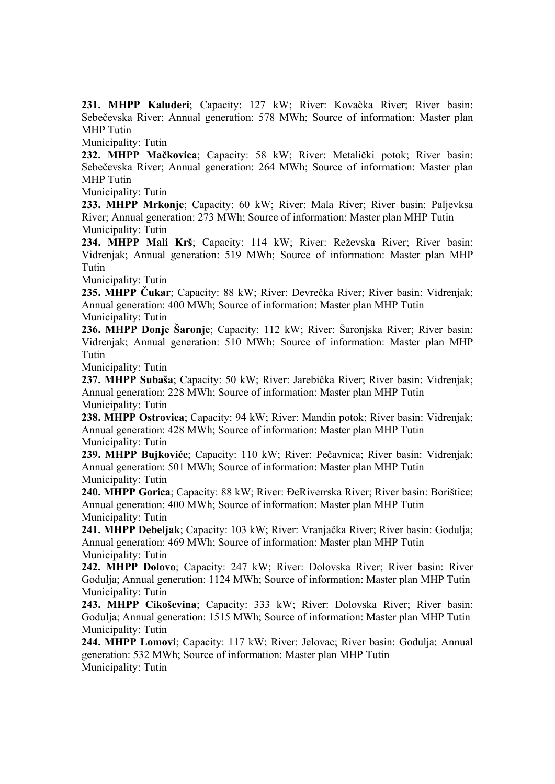**231. MHPP Kaluđeri**; Capacity: 127 kW; River: Kovačka River; River basin: Sebečevska River; Annual generation: 578 MWh; Source of information: Master plan MHP Tutin

Municipality: Tutin

**232. MHPP Mačkovica**; Capacity: 58 kW; River: Metalički potok; River basin: Sebečevska River; Annual generation: 264 MWh; Source of information: Master plan MHP Tutin

Municipality: Tutin

**233. MHPP Mrkonje**; Capacity: 60 kW; River: Mala River; River basin: Paljevksa River; Annual generation: 273 MWh; Source of information: Master plan MHP Tutin Municipality: Tutin

**234. MHPP Mali Krš**; Capacity: 114 kW; River: Reževska River; River basin: Vidrenjak; Annual generation: 519 MWh; Source of information: Master plan MHP Tutin

Municipality: Tutin

**235. MHPP Čukar**; Capacity: 88 kW; River: Devrečka River; River basin: Vidrenjak; Annual generation: 400 MWh; Source of information: Master plan MHP Tutin Municipality: Tutin

**236. MHPP Donje Šaronje**; Capacity: 112 kW; River: Šaronjska River; River basin: Vidrenjak; Annual generation: 510 MWh; Source of information: Master plan MHP Tutin

Municipality: Tutin

**237. MHPP Subaša**; Capacity: 50 kW; River: Jarebička River; River basin: Vidrenjak; Annual generation: 228 MWh; Source of information: Master plan MHP Tutin Municipality: Tutin

**238. MHPP Ostrovica**; Capacity: 94 kW; River: Mandin potok; River basin: Vidrenjak; Annual generation: 428 MWh; Source of information: Master plan MHP Tutin Municipality: Tutin

**239. MHPP Bujkoviće**; Capacity: 110 kW; River: Pečavnica; River basin: Vidrenjak; Annual generation: 501 MWh; Source of information: Master plan MHP Tutin Municipality: Tutin

**240. MHPP Gorica**; Capacity: 88 kW; River: ĐeRiverrska River; River basin: Borištice; Annual generation: 400 MWh; Source of information: Master plan MHP Tutin Municipality: Tutin

**241. MHPP Debeljak**; Capacity: 103 kW; River: Vranjačka River; River basin: Godulja; Annual generation: 469 MWh; Source of information: Master plan MHP Tutin Municipality: Tutin

**242. MHPP Dolovo**; Capacity: 247 kW; River: Dolovska River; River basin: River Godulja; Annual generation: 1124 MWh; Source of information: Master plan MHP Tutin Municipality: Tutin

**243. MHPP Cikoševina**; Capacity: 333 kW; River: Dolovska River; River basin: Godulja; Annual generation: 1515 MWh; Source of information: Master plan MHP Tutin Municipality: Tutin

**244. MHPP Lomovi**; Capacity: 117 kW; River: Jelovac; River basin: Godulja; Annual generation: 532 MWh; Source of information: Master plan MHP Tutin Municipality: Tutin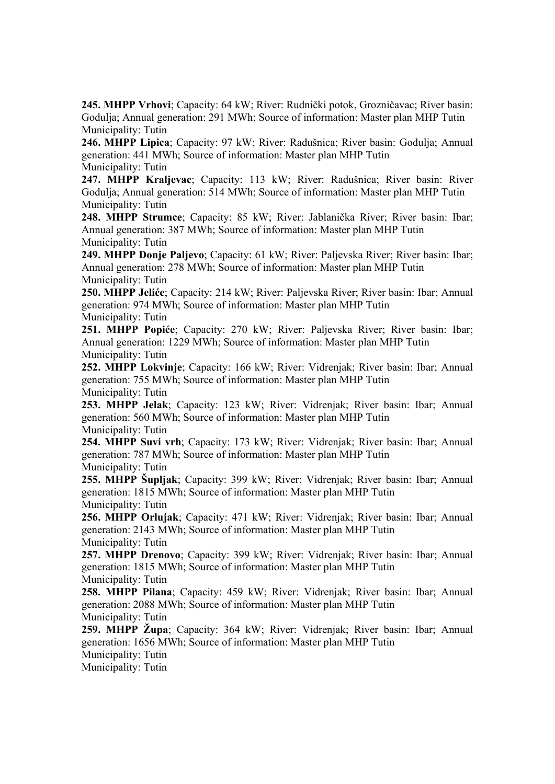**245. MHPP Vrhovi**; Capacity: 64 kW; River: Rudnički potok, Grozničavac; River basin: Godulja; Annual generation: 291 MWh; Source of information: Master plan MHP Tutin Municipality: Tutin

**246. MHPP Lipica**; Capacity: 97 kW; River: Radušnica; River basin: Godulja; Annual generation: 441 MWh; Source of information: Master plan MHP Tutin Municipality: Tutin

**247. MHPP Kraljevac**; Capacity: 113 kW; River: Radušnica; River basin: River Godulja; Annual generation: 514 MWh; Source of information: Master plan MHP Tutin Municipality: Tutin

**248. MHPP Strumce**; Capacity: 85 kW; River: Jablanička River; River basin: Ibar; Annual generation: 387 MWh; Source of information: Master plan MHP Tutin Municipality: Tutin

**249. MHPP Donje Paljevo**; Capacity: 61 kW; River: Paljevska River; River basin: Ibar; Annual generation: 278 MWh; Source of information: Master plan MHP Tutin Municipality: Tutin

**250. MHPP Jeliće**; Capacity: 214 kW; River: Paljevska River; River basin: Ibar; Annual generation: 974 MWh; Source of information: Master plan MHP Tutin Municipality: Tutin

**251. MHPP Popiće**; Capacity: 270 kW; River: Paljevska River; River basin: Ibar; Annual generation: 1229 MWh; Source of information: Master plan MHP Tutin Municipality: Tutin

**252. MHPP Lokvinje**; Capacity: 166 kW; River: Vidrenjak; River basin: Ibar; Annual generation: 755 MWh; Source of information: Master plan MHP Tutin Municipality: Tutin

**253. MHPP Jelak**; Capacity: 123 kW; River: Vidrenjak; River basin: Ibar; Annual generation: 560 MWh; Source of information: Master plan MHP Tutin Municipality: Tutin

**254. MHPP Suvi vrh**; Capacity: 173 kW; River: Vidrenjak; River basin: Ibar; Annual generation: 787 MWh; Source of information: Master plan MHP Tutin Municipality: Tutin

**255. MHPP Šupljak**; Capacity: 399 kW; River: Vidrenjak; River basin: Ibar; Annual generation: 1815 MWh; Source of information: Master plan MHP Tutin Municipality: Tutin

**256. MHPP Orlujak**; Capacity: 471 kW; River: Vidrenjak; River basin: Ibar; Annual generation: 2143 MWh; Source of information: Master plan MHP Tutin Municipality: Tutin

**257. MHPP Drenovo**; Capacity: 399 kW; River: Vidrenjak; River basin: Ibar; Annual generation: 1815 MWh; Source of information: Master plan MHP Tutin Municipality: Tutin

**258. MHPP Pilana**; Capacity: 459 kW; River: Vidrenjak; River basin: Ibar; Annual generation: 2088 MWh; Source of information: Master plan MHP Tutin Municipality: Tutin

**259. MHPP Župa**; Capacity: 364 kW; River: Vidrenjak; River basin: Ibar; Annual generation: 1656 MWh; Source of information: Master plan MHP Tutin

Municipality: Tutin

Municipality: Tutin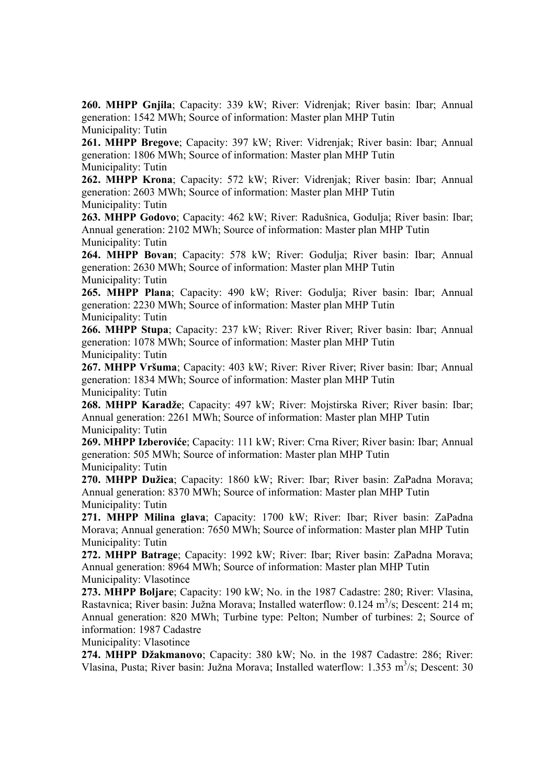**260. MHPP Gnjila**; Capacity: 339 kW; River: Vidrenjak; River basin: Ibar; Annual generation: 1542 MWh; Source of information: Master plan MHP Tutin Municipality: Tutin

**261. MHPP Bregove**; Capacity: 397 kW; River: Vidrenjak; River basin: Ibar; Annual generation: 1806 MWh; Source of information: Master plan MHP Tutin Municipality: Tutin

**262. MHPP Krona**; Capacity: 572 kW; River: Vidrenjak; River basin: Ibar; Annual generation: 2603 MWh; Source of information: Master plan MHP Tutin Municipality: Tutin

**263. MHPP Godovo**; Capacity: 462 kW; River: Radušnica, Godulja; River basin: Ibar; Annual generation: 2102 MWh; Source of information: Master plan MHP Tutin Municipality: Tutin

**264. MHPP Bovan**; Capacity: 578 kW; River: Godulja; River basin: Ibar; Annual generation: 2630 MWh; Source of information: Master plan MHP Tutin Municipality: Tutin

**265. MHPP Plana**; Capacity: 490 kW; River: Godulja; River basin: Ibar; Annual generation: 2230 MWh; Source of information: Master plan MHP Tutin Municipality: Tutin

**266. MHPP Stupa**; Capacity: 237 kW; River: River River; River basin: Ibar; Annual generation: 1078 MWh; Source of information: Master plan MHP Tutin Municipality: Tutin

**267. MHPP Vršuma**; Capacity: 403 kW; River: River River; River basin: Ibar; Annual generation: 1834 MWh; Source of information: Master plan MHP Tutin Municipality: Tutin

**268. MHPP Karadže**; Capacity: 497 kW; River: Mojstirska River; River basin: Ibar; Annual generation: 2261 MWh; Source of information: Master plan MHP Tutin Municipality: Tutin

**269. MHPP Izberoviće**; Capacity: 111 kW; River: Crna River; River basin: Ibar; Annual generation: 505 MWh; Source of information: Master plan MHP Tutin Municipality: Tutin

**270. MHPP Dužica**; Capacity: 1860 kW; River: Ibar; River basin: ZaPadna Morava; Annual generation: 8370 MWh; Source of information: Master plan MHP Tutin Municipality: Tutin

**271. MHPP Milina glava**; Capacity: 1700 kW; River: Ibar; River basin: ZaPadna Morava; Annual generation: 7650 MWh; Source of information: Master plan MHP Tutin Municipality: Tutin

**272. MHPP Batrage**; Capacity: 1992 kW; River: Ibar; River basin: ZaPadna Morava; Annual generation: 8964 MWh; Source of information: Master plan MHP Tutin Municipality: Vlasotince

**273. MHPP Boljare**; Capacity: 190 kW; No. in the 1987 Cadastre: 280; River: Vlasina, Rastavnica; River basin: Južna Morava; Installed waterflow: 0.124 m<sup>3</sup>/s; Descent: 214 m; Annual generation: 820 MWh; Turbine type: Pelton; Number of turbines: 2; Source of information: 1987 Cadastre

Municipality: Vlasotince

**274. MHPP Džakmanovo**; Capacity: 380 kW; No. in the 1987 Cadastre: 286; River: Vlasina, Pusta; River basin: Južna Morava; Installed waterflow: 1.353 m<sup>3</sup>/s; Descent: 30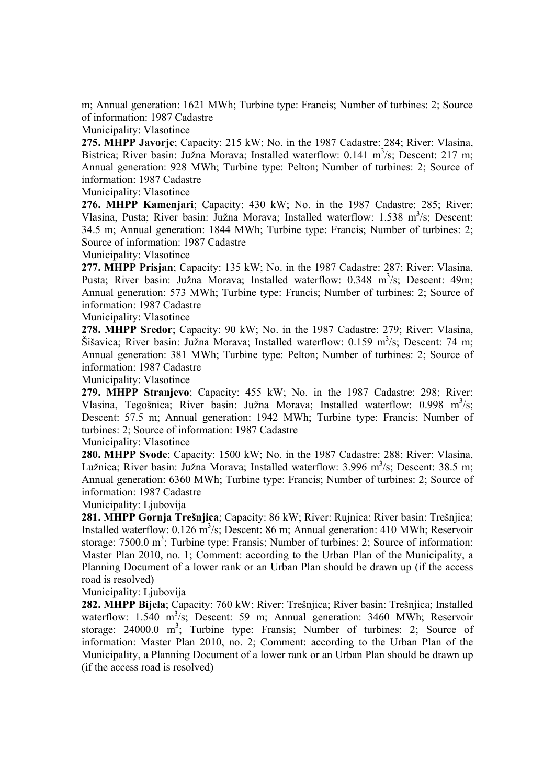m; Annual generation: 1621 MWh; Turbine type: Francis; Number of turbines: 2; Source of information: 1987 Cadastre

Municipality: Vlasotince

**275. MHPP Javorje**; Capacity: 215 kW; No. in the 1987 Cadastre: 284; River: Vlasina, Bistrica; River basin: Južna Morava; Installed waterflow: 0.141 m<sup>3</sup>/s; Descent: 217 m; Annual generation: 928 MWh; Turbine type: Pelton; Number of turbines: 2; Source of information: 1987 Cadastre

Municipality: Vlasotince

**276. MHPP Kamenjari**; Capacity: 430 kW; No. in the 1987 Cadastre: 285; River: Vlasina, Pusta; River basin: Južna Morava; Installed waterflow: 1.538 m<sup>3</sup>/s; Descent: 34.5 m; Annual generation: 1844 MWh; Turbine type: Francis; Number of turbines: 2; Source of information: 1987 Cadastre

Municipality: Vlasotince

**277. MHPP Prisjan**; Capacity: 135 kW; No. in the 1987 Cadastre: 287; River: Vlasina, Pusta; River basin: Južna Morava; Installed waterflow: 0.348 m<sup>3</sup>/s; Descent: 49m; Annual generation: 573 MWh; Turbine type: Francis; Number of turbines: 2; Source of information: 1987 Cadastre

Municipality: Vlasotince

**278. MHPP Sredor**; Capacity: 90 kW; No. in the 1987 Cadastre: 279; River: Vlasina, Šišavica; River basin: Južna Morava; Installed waterflow: 0.159 m<sup>3</sup>/s; Descent: 74 m; Annual generation: 381 MWh; Turbine type: Pelton; Number of turbines: 2; Source of information: 1987 Cadastre

Municipality: Vlasotince

**279. MHPP Stranjevo**; Capacity: 455 kW; No. in the 1987 Cadastre: 298; River: Vlasina, Tegošnica; River basin: Južna Morava; Installed waterflow: 0.998 m<sup>3</sup>/s; Descent: 57.5 m; Annual generation: 1942 MWh; Turbine type: Francis; Number of turbines: 2; Source of information: 1987 Cadastre

Municipality: Vlasotince

**280. MHPP Svođe**; Capacity: 1500 kW; No. in the 1987 Cadastre: 288; River: Vlasina, Lužnica; River basin: Južna Morava; Installed waterflow: 3.996 m<sup>3</sup>/s; Descent: 38.5 m; Annual generation: 6360 MWh; Turbine type: Francis; Number of turbines: 2; Source of information: 1987 Cadastre

Municipality: Ljubovija

**281. MHPP Gornja Trešnjica**; Capacity: 86 kW; River: Rujnica; River basin: Trešnjica; Installed waterflow: 0.126 m<sup>3</sup>/s; Descent: 86 m; Annual generation: 410 MWh; Reservoir storage:  $7500.0 \text{ m}^3$ ; Turbine type: Fransis; Number of turbines: 2; Source of information: Master Plan 2010, no. 1; Comment: according to the Urban Plan of the Municipality, a Planning Document of a lower rank or an Urban Plan should be drawn up (if the access road is resolved)

Municipality: Liubovija

**282. MHPP Bijela**; Capacity: 760 kW; River: Trešnjica; River basin: Trešnjica; Installed waterflow: 1.540 m<sup>3</sup>/s; Descent: 59 m; Annual generation: 3460 MWh; Reservoir storage:  $24000.0 \text{ m}^3$ ; Turbine type: Fransis; Number of turbines: 2; Source of information: Master Plan 2010, no. 2; Comment: according to the Urban Plan of the Municipality, a Planning Document of a lower rank or an Urban Plan should be drawn up (if the access road is resolved)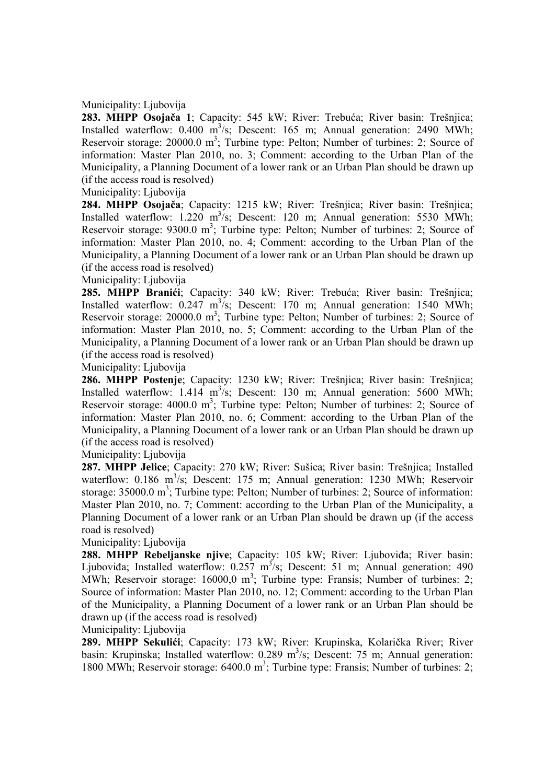## Municipality: Ljubovija

**283. MHPP Osojača 1**; Capacity: 545 kW; River: Trebuća; River basin: Trešnjica; Installed waterflow:  $0.400 \text{ m}^3/\text{s}$ ; Descent: 165 m; Annual generation: 2490 MWh; Reservoir storage: 20000.0 m<sup>3</sup>; Turbine type: Pelton; Number of turbines: 2; Source of information: Master Plan 2010, no. 3; Comment: according to the Urban Plan of the Municipality, a Planning Document of a lower rank or an Urban Plan should be drawn up (if the access road is resolved)

Municipality: Ljubovija

**284. MHPP Osojača**; Capacity: 1215 kW; River: Trešnjica; River basin: Trešnjica; Installed waterflow:  $1.220 \text{ m}^3/\text{s}$ ; Descent: 120 m; Annual generation: 5530 MWh; Reservoir storage: 9300.0 m<sup>3</sup>; Turbine type: Pelton; Number of turbines: 2; Source of information: Master Plan 2010, no. 4; Comment: according to the Urban Plan of the Municipality, a Planning Document of a lower rank or an Urban Plan should be drawn up (if the access road is resolved)

Municipality: Ljubovija

**285. MHPP Branići**; Capacity: 340 kW; River: Trebuća; River basin: Trešnjica; Installed waterflow:  $0.247 \text{ m}^3/\text{s}$ ; Descent: 170 m; Annual generation: 1540 MWh; Reservoir storage: 20000.0 m<sup>3</sup>; Turbine type: Pelton; Number of turbines: 2; Source of information: Master Plan 2010, no. 5; Comment: according to the Urban Plan of the Municipality, a Planning Document of a lower rank or an Urban Plan should be drawn up (if the access road is resolved)

Municipality: Ljubovija

**286. MHPP Postenje**; Capacity: 1230 kW; River: Trešnjica; River basin: Trešnjica; Installed waterflow:  $1.414 \text{ m}^3\text{/s}$ ; Descent: 130 m; Annual generation: 5600 MWh; Reservoir storage: 4000.0 m<sup>3</sup>; Turbine type: Pelton; Number of turbines: 2; Source of information: Master Plan 2010, no. 6; Comment: according to the Urban Plan of the Municipality, a Planning Document of a lower rank or an Urban Plan should be drawn up (if the access road is resolved)

Municipality: Ljubovija

**287. MHPP Jelice**; Capacity: 270 kW; River: Sušica; River basin: Trešnjica; Installed waterflow: 0.186 m<sup>3</sup>/s; Descent: 175 m; Annual generation: 1230 MWh; Reservoir storage:  $35000.0 \text{ m}^3$ ; Turbine type: Pelton; Number of turbines: 2; Source of information: Master Plan 2010, no. 7; Comment: according to the Urban Plan of the Municipality, a Planning Document of a lower rank or an Urban Plan should be drawn up (if the access road is resolved)

Municipality: Ljubovija

**288. MHPP Rebeljanske njive**; Capacity: 105 kW; River: Ljuboviđa; River basin: Ljuboviđa; Installed waterflow:  $0.257 \text{ m}^3/\text{s}$ ; Descent: 51 m; Annual generation: 490 MWh; Reservoir storage:  $16000,0$  m<sup>3</sup>; Turbine type: Fransis; Number of turbines: 2; Source of information: Master Plan 2010, no. 12; Comment: according to the Urban Plan of the Municipality, a Planning Document of a lower rank or an Urban Plan should be drawn up (if the access road is resolved)

Municipality: Ljubovija

**289. MHPP Sekulići**; Capacity: 173 kW; River: Krupinska, Kolarička River; River basin: Krupinska; Installed waterflow:  $0.289 \text{ m}^3/\text{s}$ ; Descent: 75 m; Annual generation: 1800 MWh; Reservoir storage: 6400.0 m<sup>3</sup>; Turbine type: Fransis; Number of turbines: 2;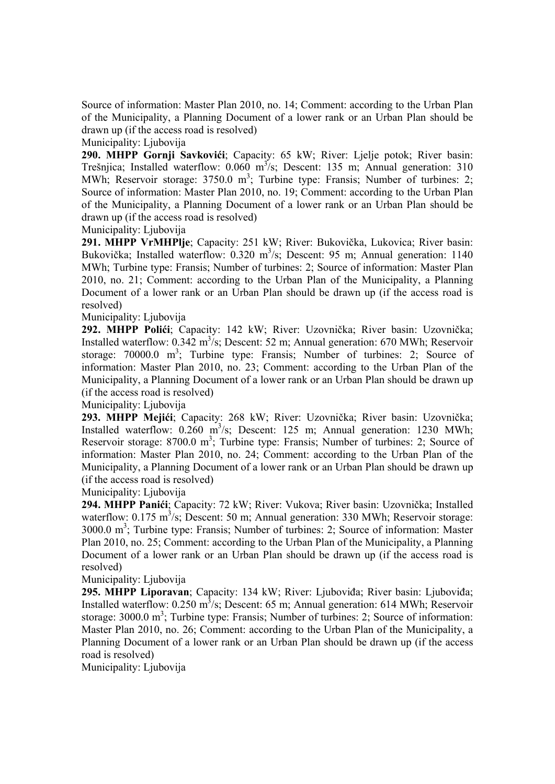Source of information: Master Plan 2010, no. 14; Comment: according to the Urban Plan of the Municipality, a Planning Document of a lower rank or an Urban Plan should be drawn up (if the access road is resolved)

Municipality: Ljubovija

**290. MHPP Gornji Savkovići**; Capacity: 65 kW; River: Ljelje potok; River basin: Trešnjica; Installed waterflow:  $0.060 \text{ m}^3/\text{s}$ ; Descent: 135 m; Annual generation: 310 MWh; Reservoir storage: 3750.0 m<sup>3</sup>; Turbine type: Fransis; Number of turbines: 2; Source of information: Master Plan 2010, no. 19; Comment: according to the Urban Plan of the Municipality, a Planning Document of a lower rank or an Urban Plan should be drawn up (if the access road is resolved)

Municipality: Ljubovija

**291. MHPP VrMHPlje**; Capacity: 251 kW; River: Bukovička, Lukovica; River basin: Bukovička; Installed waterflow:  $0.320 \text{ m}^3/\text{s}$ ; Descent: 95 m; Annual generation: 1140 MWh; Turbine type: Fransis; Number of turbines: 2; Source of information: Master Plan 2010, no. 21; Comment: according to the Urban Plan of the Municipality, a Planning Document of a lower rank or an Urban Plan should be drawn up (if the access road is resolved)

Municipality: Ljubovija

**292. MHPP Polići**; Capacity: 142 kW; River: Uzovnička; River basin: Uzovnička; Installed waterflow:  $0.342 \text{ m}^3/\text{s}$ ; Descent: 52 m; Annual generation: 670 MWh; Reservoir storage:  $70000.0$  m<sup>3</sup>; Turbine type: Fransis; Number of turbines: 2; Source of information: Master Plan 2010, no. 23; Comment: according to the Urban Plan of the Municipality, a Planning Document of a lower rank or an Urban Plan should be drawn up (if the access road is resolved)

Municipality: Ljubovija

**293. MHPP Mejići**; Capacity: 268 kW; River: Uzovnička; River basin: Uzovnička; Installed waterflow:  $0.260 \text{ m}^3/\text{s}$ ; Descent: 125 m; Annual generation: 1230 MWh; Reservoir storage: 8700.0 m<sup>3</sup>; Turbine type: Fransis; Number of turbines: 2; Source of information: Master Plan 2010, no. 24; Comment: according to the Urban Plan of the Municipality, a Planning Document of a lower rank or an Urban Plan should be drawn up (if the access road is resolved)

Municipality: Ljubovija

**294. MHPP Panići**; Capacity: 72 kW; River: Vukova; River basin: Uzovnička; Installed waterflow:  $0.175 \text{ m}^3/\text{s}$ ; Descent: 50 m; Annual generation: 330 MWh; Reservoir storage:  $3000.0 \text{ m}^3$ ; Turbine type: Fransis; Number of turbines: 2; Source of information: Master Plan 2010, no. 25; Comment: according to the Urban Plan of the Municipality, a Planning Document of a lower rank or an Urban Plan should be drawn up (if the access road is resolved)

Municipality: Liubovija

**295. MHPP Liporavan**; Capacity: 134 kW; River: Ljuboviđa; River basin: Ljuboviđa; Installed waterflow:  $0.250 \text{ m}^3/\text{s}$ ; Descent: 65 m; Annual generation: 614 MWh; Reservoir storage:  $3000.0 \text{ m}^3$ ; Turbine type: Fransis; Number of turbines: 2; Source of information: Master Plan 2010, no. 26; Comment: according to the Urban Plan of the Municipality, a Planning Document of a lower rank or an Urban Plan should be drawn up (if the access road is resolved)

Municipality: Ljubovija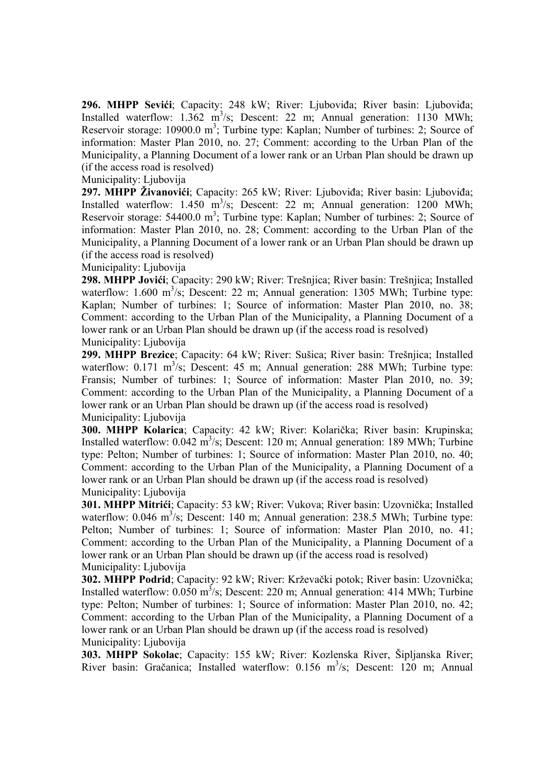**296. MHPP Sevići**; Capacity: 248 kW; River: Ljuboviđa; River basin: Ljuboviđa; Installed waterflow:  $1.362 \text{ m}^3/\text{s}$ ; Descent: 22 m; Annual generation: 1130 MWh; Reservoir storage: 10900.0 m<sup>3</sup>; Turbine type: Kaplan; Number of turbines: 2; Source of information: Master Plan 2010, no. 27; Comment: according to the Urban Plan of the Municipality, a Planning Document of a lower rank or an Urban Plan should be drawn up (if the access road is resolved)

# Municipality: Ljubovija

**297. MHPP Živanovići**; Capacity: 265 kW; River: Ljuboviđa; River basin: Ljuboviđa; Installed waterflow:  $1.450 \text{ m}^3/\text{s}$ ; Descent: 22 m; Annual generation: 1200 MWh; Reservoir storage: 54400.0 m<sup>3</sup>; Turbine type: Kaplan; Number of turbines: 2; Source of information: Master Plan 2010, no. 28; Comment: according to the Urban Plan of the Municipality, a Planning Document of a lower rank or an Urban Plan should be drawn up (if the access road is resolved)

Municipality: Ljubovija

**298. MHPP Jovići**; Capacity: 290 kW; River: Trešnjica; River basin: Trešnjica; Installed waterflow:  $1.600 \text{ m}^3/\text{s}$ ; Descent: 22 m; Annual generation: 1305 MWh; Turbine type: Kaplan; Number of turbines: 1; Source of information: Master Plan 2010, no. 38; Comment: according to the Urban Plan of the Municipality, a Planning Document of a lower rank or an Urban Plan should be drawn up (if the access road is resolved) Municipality: Ljubovija

**299. MHPP Brezice**; Capacity: 64 kW; River: Sušica; River basin: Trešnjica; Installed waterflow:  $0.171 \text{ m}^3/\text{s}$ ; Descent: 45 m; Annual generation: 288 MWh; Turbine type: Fransis; Number of turbines: 1; Source of information: Master Plan 2010, no. 39; Comment: according to the Urban Plan of the Municipality, a Planning Document of a lower rank or an Urban Plan should be drawn up (if the access road is resolved) Municipality: Ljubovija

**300. MHPP Kolarica**; Capacity: 42 kW; River: Kolarička; River basin: Krupinska; Installed waterflow:  $0.042 \text{ m}^3/\text{s}$ ; Descent: 120 m; Annual generation: 189 MWh; Turbine type: Pelton; Number of turbines: 1; Source of information: Master Plan 2010, no. 40; Comment: according to the Urban Plan of the Municipality, a Planning Document of a lower rank or an Urban Plan should be drawn up (if the access road is resolved) Municipality: Ljubovija

**301. MHPP Mitrići**; Capacity: 53 kW; River: Vukova; River basin: Uzovnička; Installed waterflow:  $0.046 \text{ m}^3/\text{s}$ ; Descent: 140 m; Annual generation: 238.5 MWh; Turbine type: Pelton; Number of turbines: 1; Source of information: Master Plan 2010, no. 41; Comment: according to the Urban Plan of the Municipality, a Planning Document of a lower rank or an Urban Plan should be drawn up (if the access road is resolved) Municipality: Ljubovija

**302. MHPP Podrid**; Capacity: 92 kW; River: Krževački potok; River basin: Uzovnička; Installed waterflow:  $0.050 \text{ m}^3/\text{s}$ ; Descent: 220 m; Annual generation: 414 MWh; Turbine type: Pelton; Number of turbines: 1; Source of information: Master Plan 2010, no. 42; Comment: according to the Urban Plan of the Municipality, a Planning Document of a lower rank or an Urban Plan should be drawn up (if the access road is resolved) Municipality: Ljubovija

**303. MHPP Sokolac**; Capacity: 155 kW; River: Kozlenska River, Šipljanska River; River basin: Gračanica; Installed waterflow: 0.156 m<sup>3</sup>/s; Descent: 120 m; Annual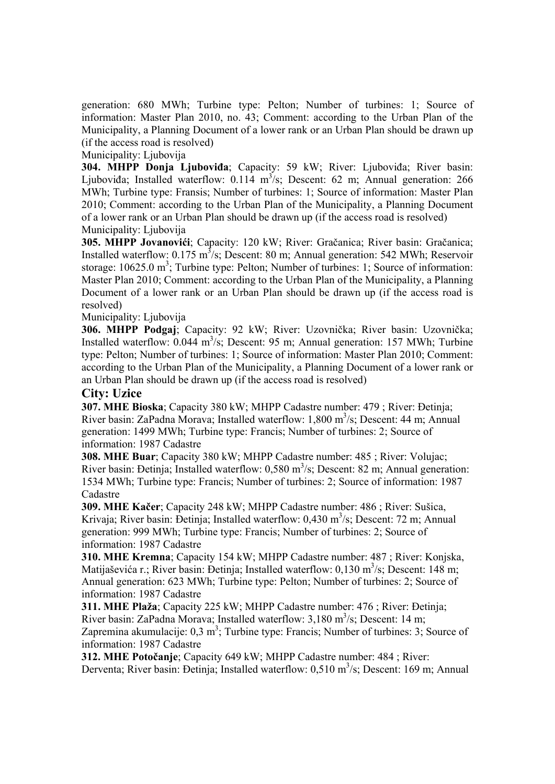generation: 680 MWh; Turbine type: Pelton; Number of turbines: 1; Source of information: Master Plan 2010, no. 43; Comment: according to the Urban Plan of the Municipality, a Planning Document of a lower rank or an Urban Plan should be drawn up (if the access road is resolved)

Municipality: Ljubovija

**304. MHPP Donja Ljuboviđa**; Capacity: 59 kW; River: Ljuboviđa; River basin: Ljuboviđa; Installed waterflow:  $0.114 \text{ m}^3/\text{s}$ ; Descent: 62 m; Annual generation: 266 MWh; Turbine type: Fransis; Number of turbines: 1; Source of information: Master Plan 2010; Comment: according to the Urban Plan of the Municipality, a Planning Document of a lower rank or an Urban Plan should be drawn up (if the access road is resolved) Municipality: Ljubovija

**305. MHPP Jovanovići**; Capacity: 120 kW; River: Gračanica; River basin: Gračanica; Installed waterflow:  $0.175 \text{ m}^3/\text{s}$ ; Descent: 80 m; Annual generation: 542 MWh; Reservoir storage:  $10625.0 \text{ m}^3$ ; Turbine type: Pelton; Number of turbines: 1; Source of information: Master Plan 2010; Comment: according to the Urban Plan of the Municipality, a Planning Document of a lower rank or an Urban Plan should be drawn up (if the access road is resolved)

Municipality: Ljubovija

**306. MHPP Podgaj**; Capacity: 92 kW; River: Uzovnička; River basin: Uzovnička; Installed waterflow:  $0.044 \text{ m}^3/\text{s}$ ; Descent: 95 m; Annual generation: 157 MWh; Turbine type: Pelton; Number of turbines: 1; Source of information: Master Plan 2010; Comment: according to the Urban Plan of the Municipality, a Planning Document of a lower rank or an Urban Plan should be drawn up (if the access road is resolved)

# **City: Uzice**

**307. MHE Bioska**; Capacity 380 kW; MHPP Cadastre number: 479 ; River: Đetinja; River basin: ZaPadna Morava; Installed waterflow: 1,800 m<sup>3</sup>/s; Descent: 44 m; Annual generation: 1499 MWh; Turbine type: Francis; Number of turbines: 2; Source of information: 1987 Cadastre

**308. MHE Buar**; Capacity 380 kW; MHPP Cadastre number: 485 ; River: Volujac; River basin: Detinja; Installed waterflow:  $0,580 \text{ m}^3/\text{s}$ ; Descent: 82 m; Annual generation: 1534 MWh; Turbine type: Francis; Number of turbines: 2; Source of information: 1987 Cadastre

**309. MHE Kačer**; Capacity 248 kW; MHPP Cadastre number: 486 ; River: Sušica, Krivaja; River basin: Đetinja; Installed waterflow: 0,430 m<sup>3</sup>/s; Descent: 72 m; Annual generation: 999 MWh; Turbine type: Francis; Number of turbines: 2; Source of information: 1987 Cadastre

**310. MHE Kremna**; Capacity 154 kW; MHPP Cadastre number: 487 ; River: Konjska, Matijaševića r.; River basin: Đetinja; Installed waterflow: 0,130 m<sup>3</sup>/s; Descent: 148 m; Annual generation: 623 MWh; Turbine type: Pelton; Number of turbines: 2; Source of information: 1987 Cadastre

**311. MHE Plaža**; Capacity 225 kW; MHPP Cadastre number: 476 ; River: Đetinja; River basin: ZaPadna Morava; Installed waterflow:  $3,180 \text{ m}^3/\text{s}$ ; Descent: 14 m; Zapremina akumulacije:  $0,3 \text{ m}^3$ ; Turbine type: Francis; Number of turbines: 3; Source of information: 1987 Cadastre

**312. MHE Potočanje**; Capacity 649 kW; MHPP Cadastre number: 484 ; River: Derventa; River basin: Đetinja; Installed waterflow: 0,510 m<sup>3</sup>/s; Descent: 169 m; Annual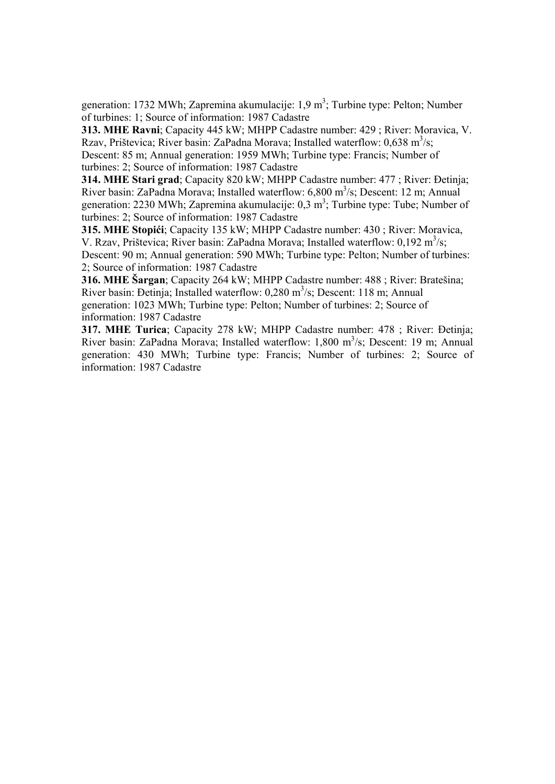generation: 1732 MWh; Zapremina akumulacije:  $1.9 \text{ m}^3$ ; Turbine type: Pelton; Number of turbines: 1; Source of information: 1987 Cadastre

**313. MHE Ravni**; Capacity 445 kW; MHPP Cadastre number: 429 ; River: Moravica, V. Rzav, Prištevica; River basin: ZaPadna Morava; Installed waterflow:  $0.638 \text{ m}^3/\text{s}$ ; Descent: 85 m; Annual generation: 1959 MWh; Turbine type: Francis; Number of turbines: 2; Source of information: 1987 Cadastre

**314. MHE Stari grad**; Capacity 820 kW; MHPP Cadastre number: 477 ; River: Đetinja; River basin: ZaPadna Morava; Installed waterflow: 6,800 m<sup>3</sup>/s; Descent: 12 m; Annual generation: 2230 MWh; Zapremina akumulacije:  $0,3 \text{ m}^3$ ; Turbine type: Tube; Number of turbines: 2; Source of information: 1987 Cadastre

**315. MHE Stopići**; Capacity 135 kW; MHPP Cadastre number: 430 ; River: Moravica, V. Rzav, Prištevica; River basin: ZaPadna Morava; Installed waterflow:  $0,192 \text{ m}^3/\text{s}$ ; Descent: 90 m; Annual generation: 590 MWh; Turbine type: Pelton; Number of turbines: 2; Source of information: 1987 Cadastre

**316. MHE Šargan**; Capacity 264 kW; MHPP Cadastre number: 488 ; River: Bratešina; River basin: Đetinja; Installed waterflow:  $0,280 \text{ m}^3/\text{s}$ ; Descent: 118 m; Annual generation: 1023 MWh; Turbine type: Pelton; Number of turbines: 2; Source of information: 1987 Cadastre

**317. MHE Turica**; Capacity 278 kW; MHPP Cadastre number: 478 ; River: Đetinja; River basin: ZaPadna Morava; Installed waterflow: 1,800 m<sup>3</sup>/s; Descent: 19 m; Annual generation: 430 MWh; Turbine type: Francis; Number of turbines: 2; Source of information: 1987 Cadastre